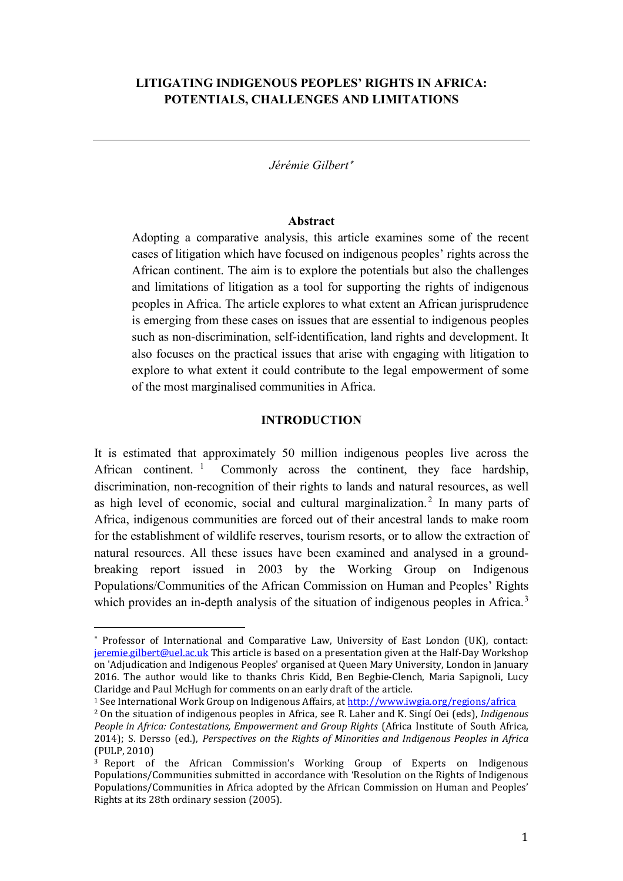## **LITIGATING INDIGENOUS PEOPLES' RIGHTS IN AFRICA: POTENTIALS, CHALLENGES AND LIMITATIONS**

*Jérémie Gilbert*[∗](#page-0-0)

#### **Abstract**

Adopting a comparative analysis, this article examines some of the recent cases of litigation which have focused on indigenous peoples' rights across the African continent. The aim is to explore the potentials but also the challenges and limitations of litigation as a tool for supporting the rights of indigenous peoples in Africa. The article explores to what extent an African jurisprudence is emerging from these cases on issues that are essential to indigenous peoples such as non-discrimination, self-identification, land rights and development. It also focuses on the practical issues that arise with engaging with litigation to explore to what extent it could contribute to the legal empowerment of some of the most marginalised communities in Africa.

## **INTRODUCTION**

It is estimated that approximately 50 million indigenous peoples live across the African continent.<sup>[1](#page-0-1)</sup> Commonly across the continent, they face hardship, discrimination, non-recognition of their rights to lands and natural resources, as well as high level of economic, social and cultural marginalization. [2](#page-0-2) In many parts of Africa, indigenous communities are forced out of their ancestral lands to make room for the establishment of wildlife reserves, tourism resorts, or to allow the extraction of natural resources. All these issues have been examined and analysed in a groundbreaking report issued in 2003 by the Working Group on Indigenous Populations/Communities of the African Commission on Human and Peoples' Rights which provides an in-depth analysis of the situation of indigenous peoples in Africa.<sup>[3](#page-0-3)</sup>

<span id="page-0-0"></span><sup>∗</sup> Professor of International and Comparative Law, University of East London (UK), contact: [jeremie.gilbert@uel.ac.uk](mailto:jeremie.gilbert@uel.ac.uk) This article is based on a presentation given at the Half-Day Workshop on 'Adjudication and Indigenous Peoples' organised at Queen Mary University, London in January 2016. The author would like to thanks Chris Kidd, Ben Begbie-Clench, Maria Sapignoli, Lucy Claridge and Paul McHugh for comments on an early draft of the article. I

<span id="page-0-1"></span><sup>&</sup>lt;sup>1</sup> See International Work Group on Indigenous Affairs, at<http://www.iwgia.org/regions/africa>

<span id="page-0-2"></span><sup>2</sup> On the situation of indigenous peoples in Africa, see R. Laher and K. Singí Oei (eds), *Indigenous People in Africa: Contestations, Empowerment and Group Rights* (Africa Institute of South Africa, 2014); S. Dersso (ed.), *Perspectives on the Rights of Minorities and Indigenous Peoples in Africa* (PULP, 2010)

<span id="page-0-3"></span><sup>&</sup>lt;sup>3</sup> Report of the African Commission's Working Group of Experts on Indigenous Populations/Communities submitted in accordance with 'Resolution on the Rights of Indigenous Populations/Communities in Africa adopted by the African Commission on Human and Peoples' Rights at its 28th ordinary session (2005).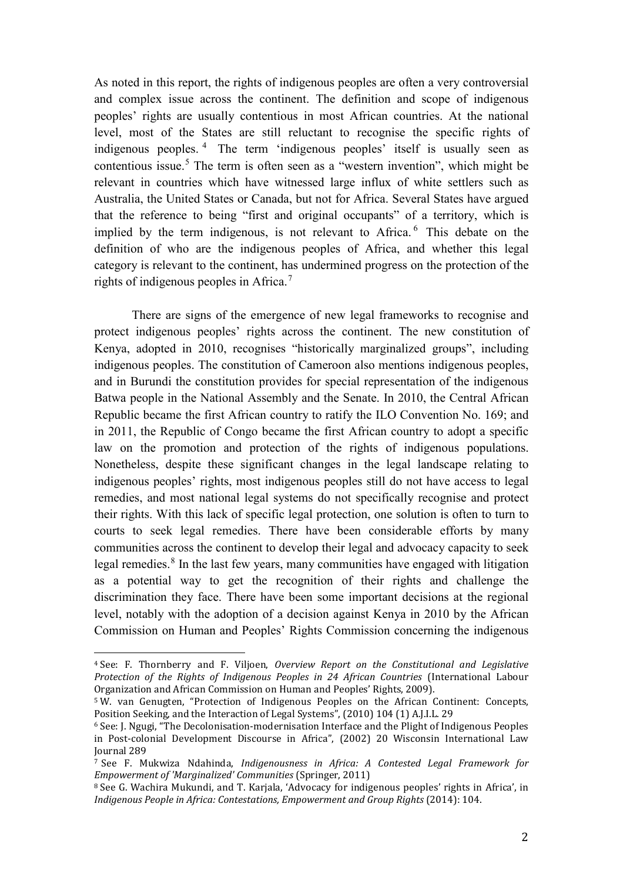As noted in this report, the rights of indigenous peoples are often a very controversial and complex issue across the continent. The definition and scope of indigenous peoples' rights are usually contentious in most African countries. At the national level, most of the States are still reluctant to recognise the specific rights of indigenous peoples. [4](#page-1-0) The term 'indigenous peoples' itself is usually seen as contentious issue.<sup>[5](#page-1-1)</sup> The term is often seen as a "western invention", which might be relevant in countries which have witnessed large influx of white settlers such as Australia, the United States or Canada, but not for Africa. Several States have argued that the reference to being "first and original occupants" of a territory, which is implied by the term indigenous, is not relevant to Africa.<sup>[6](#page-1-2)</sup> This debate on the definition of who are the indigenous peoples of Africa, and whether this legal category is relevant to the continent, has undermined progress on the protection of the rights of indigenous peoples in Africa.<sup>[7](#page-1-3)</sup>

There are signs of the emergence of new legal frameworks to recognise and protect indigenous peoples' rights across the continent. The new constitution of Kenya, adopted in 2010, recognises "historically marginalized groups", including indigenous peoples. The constitution of Cameroon also mentions indigenous peoples, and in Burundi the constitution provides for special representation of the indigenous Batwa people in the National Assembly and the Senate. In 2010, the Central African Republic became the first African country to ratify the ILO Convention No. 169; and in 2011, the Republic of Congo became the first African country to adopt a specific law on the promotion and protection of the rights of indigenous populations. Nonetheless, despite these significant changes in the legal landscape relating to indigenous peoples' rights, most indigenous peoples still do not have access to legal remedies, and most national legal systems do not specifically recognise and protect their rights. With this lack of specific legal protection, one solution is often to turn to courts to seek legal remedies. There have been considerable efforts by many communities across the continent to develop their legal and advocacy capacity to seek legal remedies.<sup>[8](#page-1-4)</sup> In the last few years, many communities have engaged with litigation as a potential way to get the recognition of their rights and challenge the discrimination they face. There have been some important decisions at the regional level, notably with the adoption of a decision against Kenya in 2010 by the African Commission on Human and Peoples' Rights Commission concerning the indigenous

<span id="page-1-0"></span><sup>4</sup> See: F. Thornberry and F. Viljoen, *Overview Report on the Constitutional and Legislative Protection of the Rights of Indigenous Peoples in 24 African Countries* (International Labour Organization and African Commission on Human and Peoples' Rights, 2009). j

<span id="page-1-1"></span><sup>&</sup>lt;sup>5</sup> W. van Genugten, "Protection of Indigenous Peoples on the African Continent: Concepts, Position Seeking, and the Interaction of Legal Systems", (2010) 104 (1) A.J.I.L. 29

<span id="page-1-2"></span><sup>&</sup>lt;sup>6</sup> See: J. Ngugi, "The Decolonisation-modernisation Interface and the Plight of Indigenous Peoples in Post-colonial Development Discourse in Africa", (2002) 20 Wisconsin International Law Journal 289

<span id="page-1-3"></span><sup>7</sup> See F. Mukwiza Ndahinda, *Indigenousness in Africa: A Contested Legal Framework for Empowerment of 'Marginalized' Communities* (Springer, 2011)

<span id="page-1-4"></span><sup>8</sup> See G. Wachira Mukundi, and T. Karjala, 'Advocacy for indigenous peoples' rights in Africa', in *Indigenous People in Africa: Contestations, Empowerment and Group Rights* (2014): 104.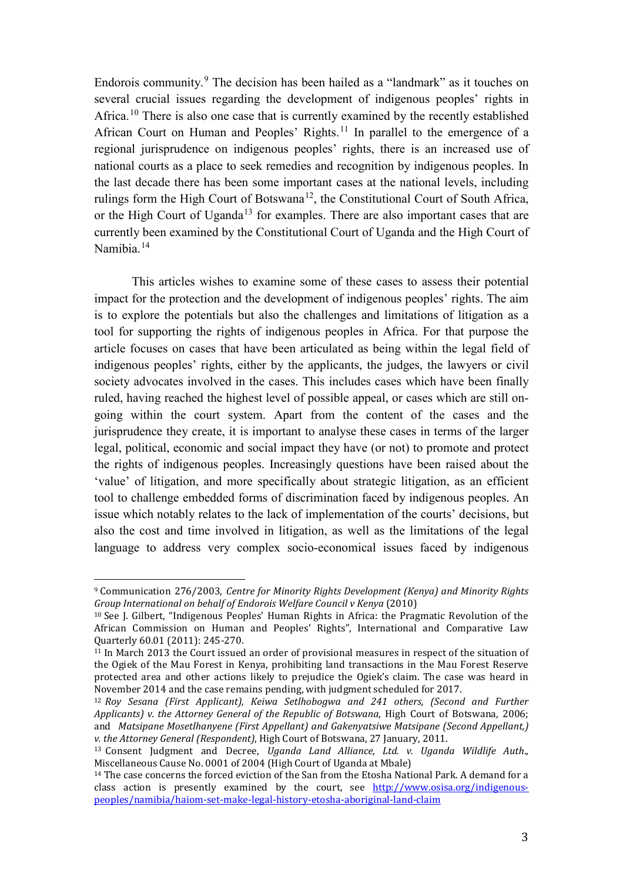Endorois community.[9](#page-2-0) The decision has been hailed as a "landmark" as it touches on several crucial issues regarding the development of indigenous peoples' rights in Africa.[10](#page-2-1) There is also one case that is currently examined by the recently established African Court on Human and Peoples' Rights.<sup>[11](#page-2-2)</sup> In parallel to the emergence of a regional jurisprudence on indigenous peoples' rights, there is an increased use of national courts as a place to seek remedies and recognition by indigenous peoples. In the last decade there has been some important cases at the national levels, including rulings form the High Court of Botswana<sup>12</sup>, the Constitutional Court of South Africa, or the High Court of Uganda<sup>[13](#page-2-4)</sup> for examples. There are also important cases that are currently been examined by the Constitutional Court of Uganda and the High Court of Namibia.[14](#page-2-5)

This articles wishes to examine some of these cases to assess their potential impact for the protection and the development of indigenous peoples' rights. The aim is to explore the potentials but also the challenges and limitations of litigation as a tool for supporting the rights of indigenous peoples in Africa. For that purpose the article focuses on cases that have been articulated as being within the legal field of indigenous peoples' rights, either by the applicants, the judges, the lawyers or civil society advocates involved in the cases. This includes cases which have been finally ruled, having reached the highest level of possible appeal, or cases which are still ongoing within the court system. Apart from the content of the cases and the jurisprudence they create, it is important to analyse these cases in terms of the larger legal, political, economic and social impact they have (or not) to promote and protect the rights of indigenous peoples. Increasingly questions have been raised about the 'value' of litigation, and more specifically about strategic litigation, as an efficient tool to challenge embedded forms of discrimination faced by indigenous peoples. An issue which notably relates to the lack of implementation of the courts' decisions, but also the cost and time involved in litigation, as well as the limitations of the legal language to address very complex socio-economical issues faced by indigenous

<span id="page-2-0"></span><sup>9</sup> Communication 276/2003, *Centre for Minority Rights Development (Kenya) and Minority Rights Group International on behalf of Endorois Welfare Council v Kenya* (2010) l

<span id="page-2-1"></span><sup>10</sup> See J. Gilbert, "Indigenous Peoples' Human Rights in Africa: the Pragmatic Revolution of the African Commission on Human and Peoples' Rights", International and Comparative Law Quarterly 60.01 (2011): 245-270.

<span id="page-2-2"></span> $11$  In March 2013 the Court issued an order of provisional measures in respect of the situation of the Ogiek of the Mau Forest in Kenya, prohibiting land transactions in the Mau Forest Reserve protected area and other actions likely to prejudice the Ogiek's claim. The case was heard in November 2014 and the case remains pending, with judgment scheduled for 2017.

<span id="page-2-3"></span><sup>12</sup> *Roy Sesana (First Applicant), Keiwa Setlhobogwa and 241 others, (Second and Further Applicants) v. the Attorney General of the Republic of Botswana*, High Court of Botswana, 2006; and *Matsipane Mosetlhanyene (First Appellant) and Gakenyatsiwe Matsipane (Second Appellant,)* 

<span id="page-2-4"></span><sup>&</sup>lt;sup>13</sup> Consent Judgment and Decree, *Uganda Land Alliance, Ltd. v. Uganda Wildlife Auth.*, Miscellaneous Cause No. 0001 of 2004 (High Court of Uganda at Mbale)

<span id="page-2-5"></span><sup>&</sup>lt;sup>14</sup> The case concerns the forced eviction of the San from the Etosha National Park. A demand for a class action is presently examined by the court, see [http://www.osisa.org/indigenous](http://www.osisa.org/indigenous-peoples/namibia/haiom-set-make-legal-history-etosha-aboriginal-land-claim)[peoples/namibia/haiom-set-make-legal-history-etosha-aboriginal-land-claim](http://www.osisa.org/indigenous-peoples/namibia/haiom-set-make-legal-history-etosha-aboriginal-land-claim)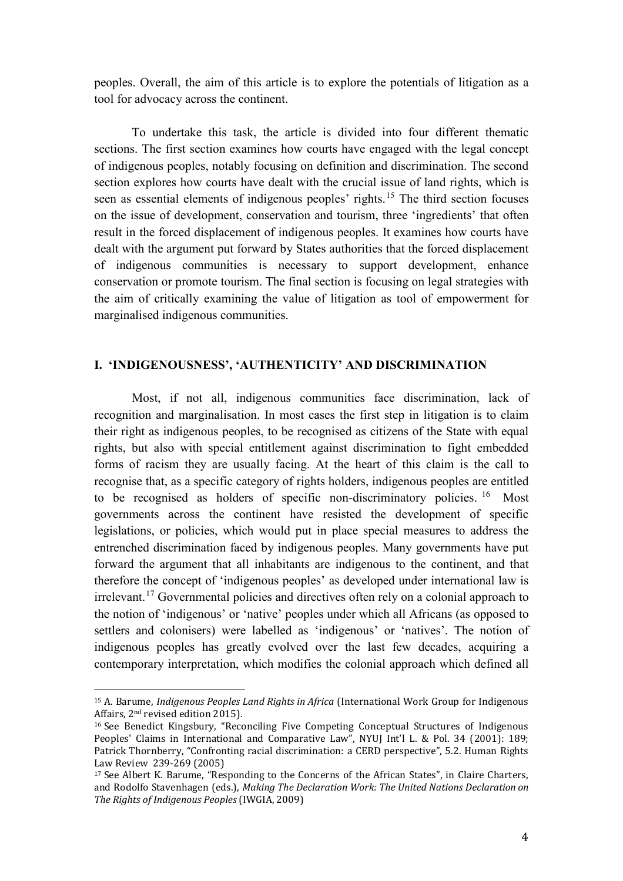peoples. Overall, the aim of this article is to explore the potentials of litigation as a tool for advocacy across the continent.

To undertake this task, the article is divided into four different thematic sections. The first section examines how courts have engaged with the legal concept of indigenous peoples, notably focusing on definition and discrimination. The second section explores how courts have dealt with the crucial issue of land rights, which is seen as essential elements of indigenous peoples' rights.<sup>[15](#page-3-0)</sup> The third section focuses on the issue of development, conservation and tourism, three 'ingredients' that often result in the forced displacement of indigenous peoples. It examines how courts have dealt with the argument put forward by States authorities that the forced displacement of indigenous communities is necessary to support development, enhance conservation or promote tourism. The final section is focusing on legal strategies with the aim of critically examining the value of litigation as tool of empowerment for marginalised indigenous communities.

### **I. 'INDIGENOUSNESS', 'AUTHENTICITY' AND DISCRIMINATION**

Most, if not all, indigenous communities face discrimination, lack of recognition and marginalisation. In most cases the first step in litigation is to claim their right as indigenous peoples, to be recognised as citizens of the State with equal rights, but also with special entitlement against discrimination to fight embedded forms of racism they are usually facing. At the heart of this claim is the call to recognise that, as a specific category of rights holders, indigenous peoples are entitled to be recognised as holders of specific non-discriminatory policies. <sup>[16](#page-3-1)</sup> Most governments across the continent have resisted the development of specific legislations, or policies, which would put in place special measures to address the entrenched discrimination faced by indigenous peoples. Many governments have put forward the argument that all inhabitants are indigenous to the continent, and that therefore the concept of 'indigenous peoples' as developed under international law is irrelevant.[17](#page-3-2) Governmental policies and directives often rely on a colonial approach to the notion of 'indigenous' or 'native' peoples under which all Africans (as opposed to settlers and colonisers) were labelled as 'indigenous' or 'natives'. The notion of indigenous peoples has greatly evolved over the last few decades, acquiring a contemporary interpretation, which modifies the colonial approach which defined all

<span id="page-3-0"></span><sup>15</sup> A. Barume, *Indigenous Peoples Land Rights in Africa* (International Work Group for Indigenous Affairs, 2nd revised edition 2015). i<br>I

<span id="page-3-1"></span><sup>16</sup> See Benedict Kingsbury, "Reconciling Five Competing Conceptual Structures of Indigenous Peoples' Claims in International and Comparative Law", NYUJ Int'l L. & Pol. 34 (2001): 189; Patrick Thornberry, "Confronting racial discrimination: a CERD perspective", 5.2. Human Rights Law Review 239-269 (2005)

<span id="page-3-2"></span><sup>17</sup> See Albert K. Barume, "Responding to the Concerns of the African States", in Claire Charters, and Rodolfo Stavenhagen (eds.), *Making The Declaration Work: The United Nations Declaration on The Rights of Indigenous Peoples* (IWGIA, 2009)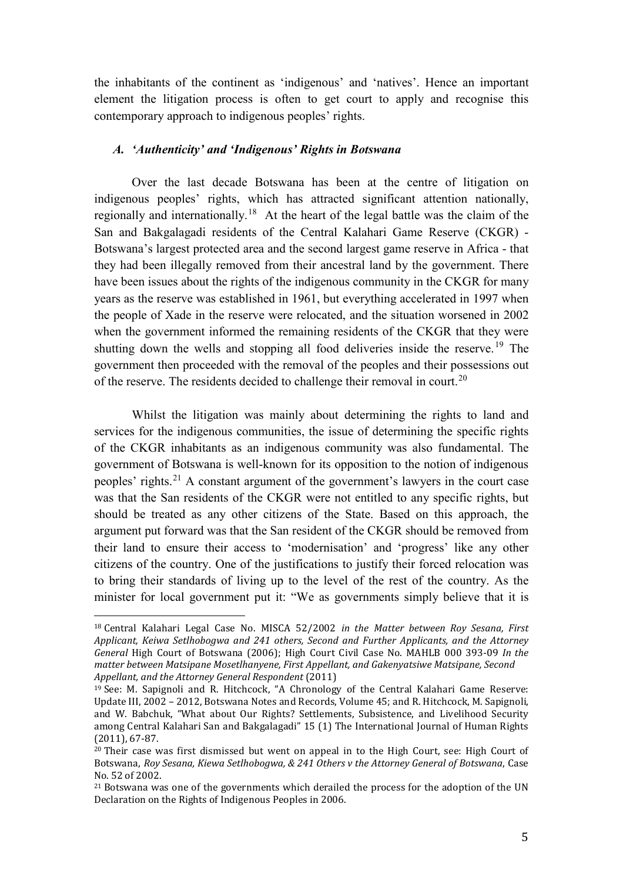the inhabitants of the continent as 'indigenous' and 'natives'. Hence an important element the litigation process is often to get court to apply and recognise this contemporary approach to indigenous peoples' rights.

### *A. 'Authenticity' and 'Indigenous' Rights in Botswana*

Over the last decade Botswana has been at the centre of litigation on indigenous peoples' rights, which has attracted significant attention nationally, regionally and internationally.[18](#page-4-0) At the heart of the legal battle was the claim of the San and Bakgalagadi residents of the Central Kalahari Game Reserve (CKGR) - Botswana's largest protected area and the second largest game reserve in Africa - that they had been illegally removed from their ancestral land by the government. There have been issues about the rights of the indigenous community in the CKGR for many years as the reserve was established in 1961, but everything accelerated in 1997 when the people of Xade in the reserve were relocated, and the situation worsened in 2002 when the government informed the remaining residents of the CKGR that they were shutting down the wells and stopping all food deliveries inside the reserve.<sup>[19](#page-4-1)</sup> The government then proceeded with the removal of the peoples and their possessions out of the reserve. The residents decided to challenge their removal in court.[20](#page-4-2)

Whilst the litigation was mainly about determining the rights to land and services for the indigenous communities, the issue of determining the specific rights of the CKGR inhabitants as an indigenous community was also fundamental. The government of Botswana is well-known for its opposition to the notion of indigenous peoples' rights.[21](#page-4-3) A constant argument of the government's lawyers in the court case was that the San residents of the CKGR were not entitled to any specific rights, but should be treated as any other citizens of the State. Based on this approach, the argument put forward was that the San resident of the CKGR should be removed from their land to ensure their access to 'modernisation' and 'progress' like any other citizens of the country. One of the justifications to justify their forced relocation was to bring their standards of living up to the level of the rest of the country. As the minister for local government put it: "We as governments simply believe that it is

<span id="page-4-0"></span><sup>18</sup> Central Kalahari Legal Case No. MISCA 52/2002 *in the Matter between Roy Sesana, First Applicant, Keiwa Setlhobogwa and 241 others, Second and Further Applicants, and the Attorney General* High Court of Botswana (2006); High Court Civil Case No. MAHLB 000 393-09 *In the matter between Matsipane Mosetlhanyene, First Appellant, and Gakenyatsiwe Matsipane, Second Appellant, and the Attorney General Respondent* (2011) j

<span id="page-4-1"></span><sup>19</sup> See: M. Sapignoli and R. Hitchcock, "A Chronology of the Central Kalahari Game Reserve: Update III, 2002 – 2012, Botswana Notes and Records, Volume 45; and R. Hitchcock, M. Sapignoli, and W. Babchuk, "What about Our Rights? Settlements, Subsistence, and Livelihood Security among Central Kalahari San and Bakgalagadi" 15 (1) The International Journal of Human Rights (2011), 67-87.

<span id="page-4-2"></span> $20$  Their case was first dismissed but went on appeal in to the High Court, see: High Court of Botswana, *Roy Sesana, Kiewa Setlhobogwa, & 241 Others v the Attorney General of Botswana*, Case No. 52 of 2002.

<span id="page-4-3"></span><sup>&</sup>lt;sup>21</sup> Botswana was one of the governments which derailed the process for the adoption of the UN Declaration on the Rights of Indigenous Peoples in 2006.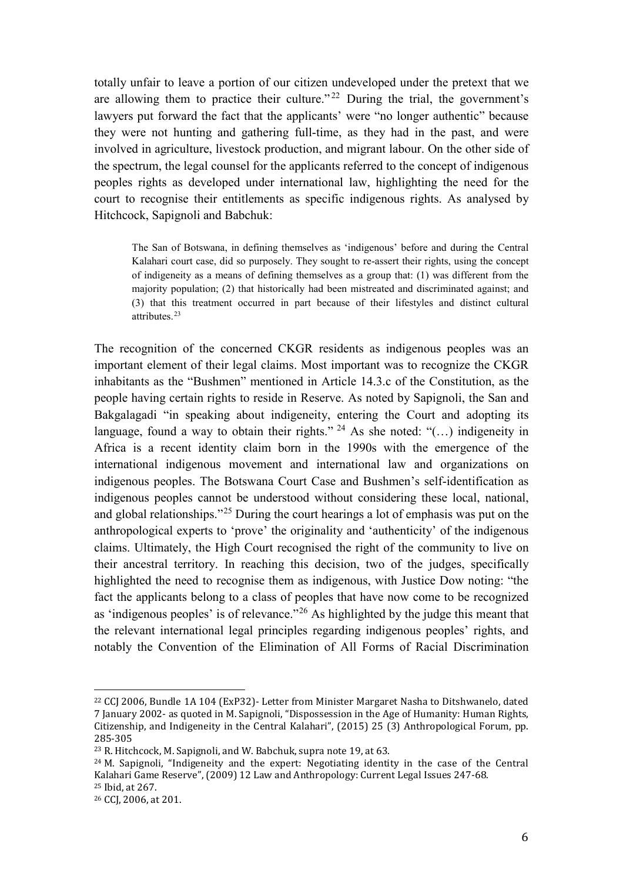totally unfair to leave a portion of our citizen undeveloped under the pretext that we are allowing them to practice their culture."<sup>[22](#page-5-0)</sup> During the trial, the government's lawyers put forward the fact that the applicants' were "no longer authentic" because they were not hunting and gathering full-time, as they had in the past, and were involved in agriculture, livestock production, and migrant labour. On the other side of the spectrum, the legal counsel for the applicants referred to the concept of indigenous peoples rights as developed under international law, highlighting the need for the court to recognise their entitlements as specific indigenous rights. As analysed by Hitchcock, Sapignoli and Babchuk:

The San of Botswana, in defining themselves as 'indigenous' before and during the Central Kalahari court case, did so purposely. They sought to re-assert their rights, using the concept of indigeneity as a means of defining themselves as a group that: (1) was different from the majority population; (2) that historically had been mistreated and discriminated against; and (3) that this treatment occurred in part because of their lifestyles and distinct cultural attributes.[23](#page-5-1)

The recognition of the concerned CKGR residents as indigenous peoples was an important element of their legal claims. Most important was to recognize the CKGR inhabitants as the "Bushmen" mentioned in Article 14.3.c of the Constitution, as the people having certain rights to reside in Reserve. As noted by Sapignoli, the San and Bakgalagadi "in speaking about indigeneity, entering the Court and adopting its language, found a way to obtain their rights." <sup>[24](#page-5-2)</sup> As she noted: "(...) indigeneity in Africa is a recent identity claim born in the 1990s with the emergence of the international indigenous movement and international law and organizations on indigenous peoples. The Botswana Court Case and Bushmen's self-identification as indigenous peoples cannot be understood without considering these local, national, and global relationships."<sup>25</sup> During the court hearings a lot of emphasis was put on the anthropological experts to 'prove' the originality and 'authenticity' of the indigenous claims. Ultimately, the High Court recognised the right of the community to live on their ancestral territory. In reaching this decision, two of the judges, specifically highlighted the need to recognise them as indigenous, with Justice Dow noting: "the fact the applicants belong to a class of peoples that have now come to be recognized as 'indigenous peoples' is of relevance."[26](#page-5-4) As highlighted by the judge this meant that the relevant international legal principles regarding indigenous peoples' rights, and notably the Convention of the Elimination of All Forms of Racial Discrimination

<span id="page-5-0"></span><sup>22</sup> CCJ 2006, Bundle 1A 104 (ExP32)- Letter from Minister Margaret Nasha to Ditshwanelo, dated 7 January 2002- as quoted in M. Sapignoli, "Dispossession in the Age of Humanity: Human Rights, Citizenship, and Indigeneity in the Central Kalahari", (2015) 25 (3) Anthropological Forum, pp. i<br>I

<span id="page-5-1"></span><sup>&</sup>lt;sup>23</sup> R. Hitchcock, M. Sapignoli, and W. Babchuk, supra note 19, at 63.

<span id="page-5-2"></span> $24$  M. Sapignoli, "Indigeneity and the expert: Negotiating identity in the case of the Central Kalahari Game Reserve", (2009) 12 Law and Anthropology: Current Legal Issues 247-68. <sup>25</sup> Ibid, at 267.

<span id="page-5-4"></span><span id="page-5-3"></span><sup>26</sup> CCJ, 2006, at 201.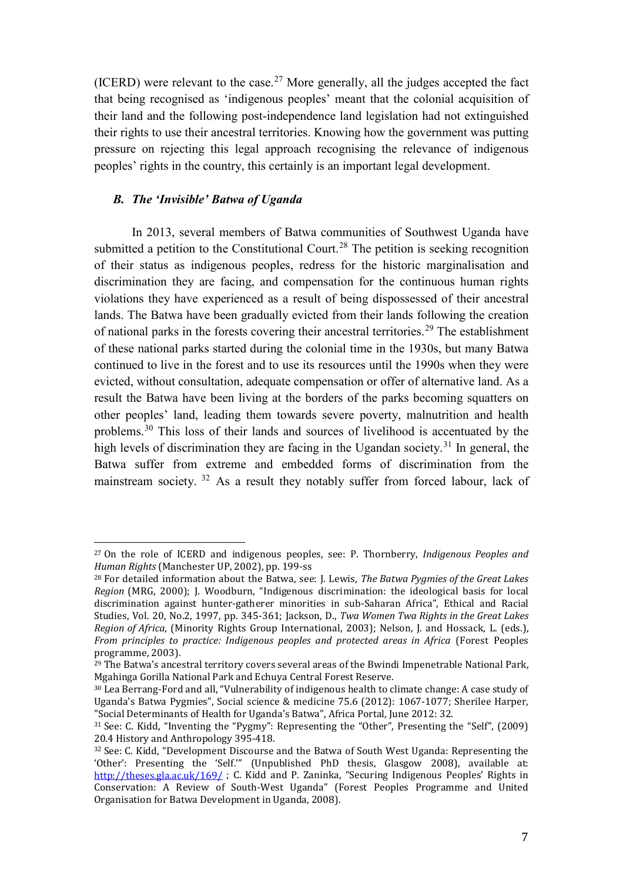(ICERD) were relevant to the case.<sup>[27](#page-6-0)</sup> More generally, all the judges accepted the fact that being recognised as 'indigenous peoples' meant that the colonial acquisition of their land and the following post-independence land legislation had not extinguished their rights to use their ancestral territories. Knowing how the government was putting pressure on rejecting this legal approach recognising the relevance of indigenous peoples' rights in the country, this certainly is an important legal development.

### *B. The 'Invisible' Batwa of Uganda*

In 2013, several members of Batwa communities of Southwest Uganda have submitted a petition to the Constitutional Court.<sup>[28](#page-6-1)</sup> The petition is seeking recognition of their status as indigenous peoples, redress for the historic marginalisation and discrimination they are facing, and compensation for the continuous human rights violations they have experienced as a result of being dispossessed of their ancestral lands. The Batwa have been gradually evicted from their lands following the creation of national parks in the forests covering their ancestral territories.[29](#page-6-2) The establishment of these national parks started during the colonial time in the 1930s, but many Batwa continued to live in the forest and to use its resources until the 1990s when they were evicted, without consultation, adequate compensation or offer of alternative land. As a result the Batwa have been living at the borders of the parks becoming squatters on other peoples' land, leading them towards severe poverty, malnutrition and health problems.[30](#page-6-3) This loss of their lands and sources of livelihood is accentuated by the high levels of discrimination they are facing in the Ugandan society.<sup>[31](#page-6-4)</sup> In general, the Batwa suffer from extreme and embedded forms of discrimination from the mainstream society. [32](#page-6-5) As a result they notably suffer from forced labour, lack of

<span id="page-6-0"></span><sup>27</sup> On the role of ICERD and indigenous peoples, see: P. Thornberry, *Indigenous Peoples and Human Rights* (Manchester UP, 2002), pp. 199-ss l

<span id="page-6-1"></span><sup>28</sup> For detailed information about the Batwa, see: J. Lewis, *The Batwa Pygmies of the Great Lakes Region* (MRG, 2000); J. Woodburn, "Indigenous discrimination: the ideological basis for local discrimination against hunter-gatherer minorities in sub-Saharan Africa", Ethical and Racial Studies, Vol. 20, No.2, 1997, pp. 345-361; Jackson, D., *Twa Women Twa Rights in the Great Lakes Region of Africa*, (Minority Rights Group International, 2003); Nelson, J. and Hossack, L. (eds.), *From principles to practice: Indigenous peoples and protected areas in Africa* (Forest Peoples

<span id="page-6-2"></span> $29$  The Batwa's ancestral territory covers several areas of the Bwindi Impenetrable National Park, Mgahinga Gorilla National Park and Echuya Central Forest Reserve.

<span id="page-6-3"></span><sup>30</sup> Lea Berrang-Ford and all, "Vulnerability of indigenous health to climate change: A case study of Uganda's Batwa Pygmies", Social science & medicine 75.6 (2012): 1067-1077; Sherilee Harper, "Social Determinants of Health for Uganda's Batwa", Africa Portal, June 2012: 32.

<span id="page-6-4"></span><sup>31</sup> See: C. Kidd, "Inventing the "Pygmy": Representing the "Other", Presenting the "Self", (2009) 20.4 History and Anthropology 395-418.

<span id="page-6-5"></span><sup>&</sup>lt;sup>32</sup> See: C. Kidd, "Development Discourse and the Batwa of South West Uganda: Representing the 'Other': Presenting the 'Self.'" (Unpublished PhD thesis, Glasgow 2008), available at: <http://theses.gla.ac.uk/169/> ; C. Kidd and P. Zaninka, "Securing Indigenous Peoples' Rights in Conservation: A Review of South-West Uganda" (Forest Peoples Programme and United Organisation for Batwa Development in Uganda, 2008).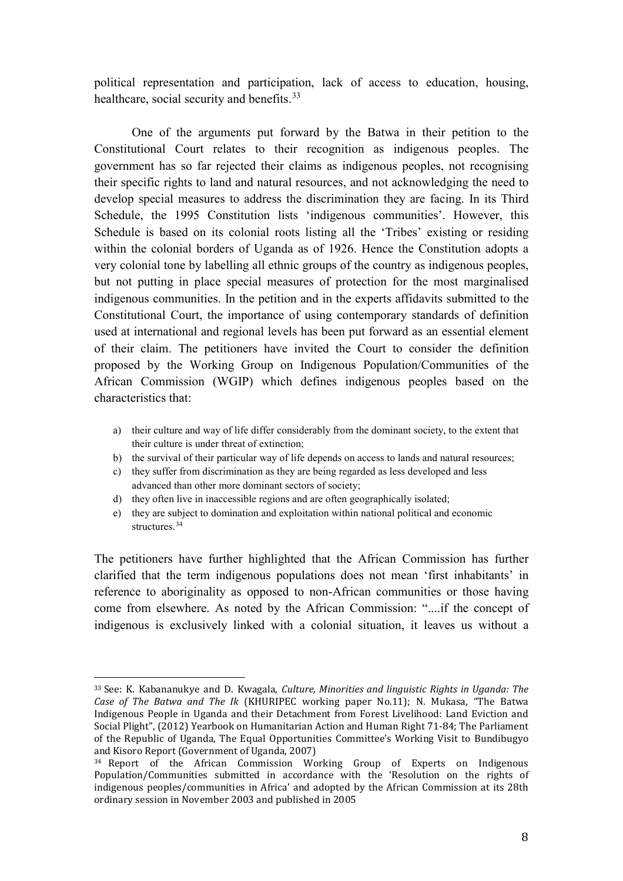political representation and participation, lack of access to education, housing, healthcare, social security and benefits.<sup>[33](#page-7-0)</sup>

One of the arguments put forward by the Batwa in their petition to the Constitutional Court relates to their recognition as indigenous peoples. The government has so far rejected their claims as indigenous peoples, not recognising their specific rights to land and natural resources, and not acknowledging the need to develop special measures to address the discrimination they are facing. In its Third Schedule, the 1995 Constitution lists 'indigenous communities'. However, this Schedule is based on its colonial roots listing all the 'Tribes' existing or residing within the colonial borders of Uganda as of 1926. Hence the Constitution adopts a very colonial tone by labelling all ethnic groups of the country as indigenous peoples, but not putting in place special measures of protection for the most marginalised indigenous communities. In the petition and in the experts affidavits submitted to the Constitutional Court, the importance of using contemporary standards of definition used at international and regional levels has been put forward as an essential element of their claim. The petitioners have invited the Court to consider the definition proposed by the Working Group on Indigenous Population/Communities of the African Commission (WGIP) which defines indigenous peoples based on the characteristics that:

- a) their culture and way of life differ considerably from the dominant society, to the extent that their culture is under threat of extinction;
- b) the survival of their particular way of life depends on access to lands and natural resources;
- c) they suffer from discrimination as they are being regarded as less developed and less advanced than other more dominant sectors of society;
- d) they often live in inaccessible regions and are often geographically isolated;
- e) they are subject to domination and exploitation within national political and economic structures.<sup>[34](#page-7-1)</sup>

The petitioners have further highlighted that the African Commission has further clarified that the term indigenous populations does not mean 'first inhabitants' in reference to aboriginality as opposed to non-African communities or those having come from elsewhere. As noted by the African Commission: "....if the concept of indigenous is exclusively linked with a colonial situation, it leaves us without a

<span id="page-7-0"></span><sup>33</sup> See: K. Kabananukye and D. Kwagala, *Culture, Minorities and linguistic Rights in Uganda: The Case of The Batwa and The Ik* (KHURIPEC working paper No.11); N. Mukasa, "The Batwa Indigenous People in Uganda and their Detachment from Forest Livelihood: Land Eviction and Social Plight", (2012) Yearbook on Humanitarian Action and Human Right 71-84; The Parliament of the Republic of Uganda, The Equal Opportunities Committee's Working Visit to Bundibugyo and Kisoro Report (Government of Uganda, 2007) i<br>I

<span id="page-7-1"></span><sup>34</sup> Report of the African Commission Working Group of Experts on Indigenous Population/Communities submitted in accordance with the 'Resolution on the rights of indigenous peoples/communities in Africa' and adopted by the African Commission at its 28th ordinary session in November 2003 and published in 2005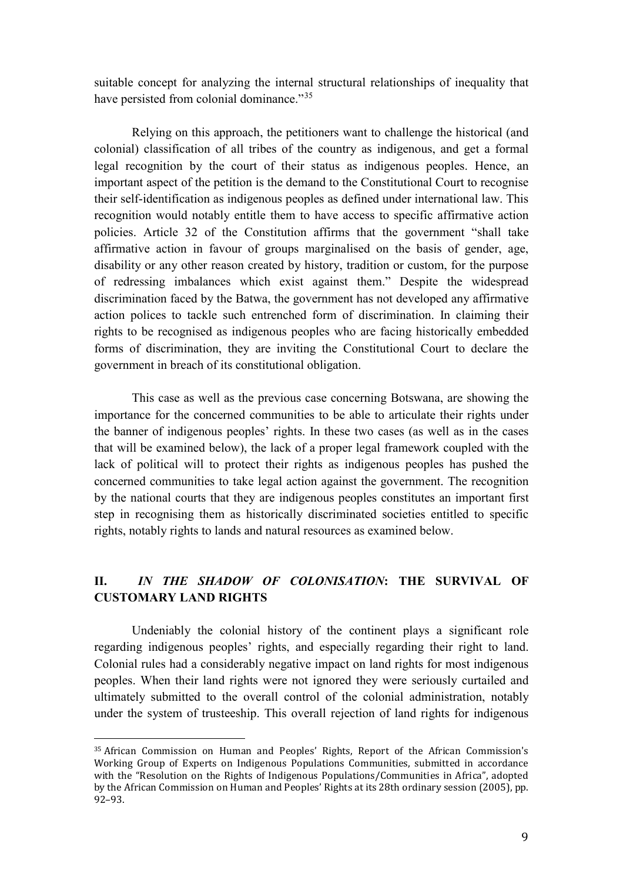suitable concept for analyzing the internal structural relationships of inequality that have persisted from colonial dominance."<sup>35</sup>

Relying on this approach, the petitioners want to challenge the historical (and colonial) classification of all tribes of the country as indigenous, and get a formal legal recognition by the court of their status as indigenous peoples. Hence, an important aspect of the petition is the demand to the Constitutional Court to recognise their self-identification as indigenous peoples as defined under international law. This recognition would notably entitle them to have access to specific affirmative action policies. Article 32 of the Constitution affirms that the government "shall take affirmative action in favour of groups marginalised on the basis of gender, age, disability or any other reason created by history, tradition or custom, for the purpose of redressing imbalances which exist against them." Despite the widespread discrimination faced by the Batwa, the government has not developed any affirmative action polices to tackle such entrenched form of discrimination. In claiming their rights to be recognised as indigenous peoples who are facing historically embedded forms of discrimination, they are inviting the Constitutional Court to declare the government in breach of its constitutional obligation.

This case as well as the previous case concerning Botswana, are showing the importance for the concerned communities to be able to articulate their rights under the banner of indigenous peoples' rights. In these two cases (as well as in the cases that will be examined below), the lack of a proper legal framework coupled with the lack of political will to protect their rights as indigenous peoples has pushed the concerned communities to take legal action against the government. The recognition by the national courts that they are indigenous peoples constitutes an important first step in recognising them as historically discriminated societies entitled to specific rights, notably rights to lands and natural resources as examined below.

# **II.** *IN THE SHADOW OF COLONISATION***: THE SURVIVAL OF CUSTOMARY LAND RIGHTS**

Undeniably the colonial history of the continent plays a significant role regarding indigenous peoples' rights, and especially regarding their right to land. Colonial rules had a considerably negative impact on land rights for most indigenous peoples. When their land rights were not ignored they were seriously curtailed and ultimately submitted to the overall control of the colonial administration, notably under the system of trusteeship. This overall rejection of land rights for indigenous

<span id="page-8-0"></span><sup>35</sup> African Commission on Human and Peoples' Rights, Report of the African Commission's Working Group of Experts on Indigenous Populations Communities, submitted in accordance with the "Resolution on the Rights of Indigenous Populations/Communities in Africa", adopted by the African Commission on Human and Peoples' Rights at its 28th ordinary session (2005), pp. 92–93. i<br>I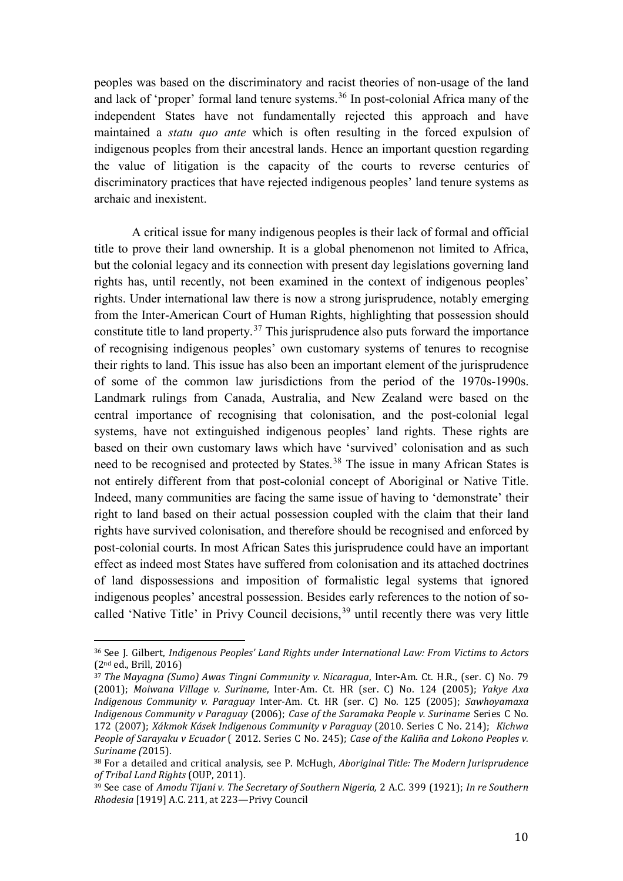peoples was based on the discriminatory and racist theories of non-usage of the land and lack of 'proper' formal land tenure systems.<sup>[36](#page-9-0)</sup> In post-colonial Africa many of the independent States have not fundamentally rejected this approach and have maintained a *statu quo ante* which is often resulting in the forced expulsion of indigenous peoples from their ancestral lands. Hence an important question regarding the value of litigation is the capacity of the courts to reverse centuries of discriminatory practices that have rejected indigenous peoples' land tenure systems as archaic and inexistent.

A critical issue for many indigenous peoples is their lack of formal and official title to prove their land ownership. It is a global phenomenon not limited to Africa, but the colonial legacy and its connection with present day legislations governing land rights has, until recently, not been examined in the context of indigenous peoples' rights. Under international law there is now a strong jurisprudence, notably emerging from the Inter-American Court of Human Rights, highlighting that possession should constitute title to land property.<sup>[37](#page-9-1)</sup> This jurisprudence also puts forward the importance of recognising indigenous peoples' own customary systems of tenures to recognise their rights to land. This issue has also been an important element of the jurisprudence of some of the common law jurisdictions from the period of the 1970s-1990s. Landmark rulings from Canada, Australia, and New Zealand were based on the central importance of recognising that colonisation, and the post-colonial legal systems, have not extinguished indigenous peoples' land rights. These rights are based on their own customary laws which have 'survived' colonisation and as such need to be recognised and protected by States.<sup>[38](#page-9-2)</sup> The issue in many African States is not entirely different from that post-colonial concept of Aboriginal or Native Title. Indeed, many communities are facing the same issue of having to 'demonstrate' their right to land based on their actual possession coupled with the claim that their land rights have survived colonisation, and therefore should be recognised and enforced by post-colonial courts. In most African Sates this jurisprudence could have an important effect as indeed most States have suffered from colonisation and its attached doctrines of land dispossessions and imposition of formalistic legal systems that ignored indigenous peoples' ancestral possession. Besides early references to the notion of so-called 'Native Title' in Privy Council decisions,<sup>[39](#page-9-3)</sup> until recently there was very little

<span id="page-9-0"></span><sup>36</sup> See J. Gilbert, *Indigenous Peoples' Land Rights under International Law: From Victims to Actors*  (2nd ed., Brill, 2016) i<br>I

<span id="page-9-1"></span><sup>37</sup> *The Mayagna (Sumo) Awas Tingni Community v. Nicaragua*, Inter-Am. Ct. H.R., (ser. C) No. 79 (2001); *Moiwana Village v. Suriname*, Inter-Am. Ct. HR (ser. C) No. 124 (2005); *Yakye Axa Indigenous Community v. Paraguay* Inter-Am. Ct. HR (ser. C) No. 125 (2005); *Sawhoyamaxa Indigenous Community v Paraguay* (2006); *Case of the Saramaka People v. Suriname* Series C No. 172 (2007); *Xákmok Kásek Indigenous Community v Paraguay* (2010. Series C No. 214); *Kichwa People of Sarayaku v Ecuador* ( 2012. Series C No. 245); *Case of the Kaliña and Lokono Peoples v. Suriname (*2015).

<span id="page-9-2"></span><sup>38</sup> For a detailed and critical analysis, see P. McHugh, *Aboriginal Title: The Modern Jurisprudence of Tribal Land Rights* (OUP, 2011).

<span id="page-9-3"></span><sup>39</sup> See case of *Amodu Tijani v. The Secretary of Southern Nigeria,* 2 A.C. 399 (1921); *In re Southern Rhodesia* [1919] A.C. 211, at 223—Privy Council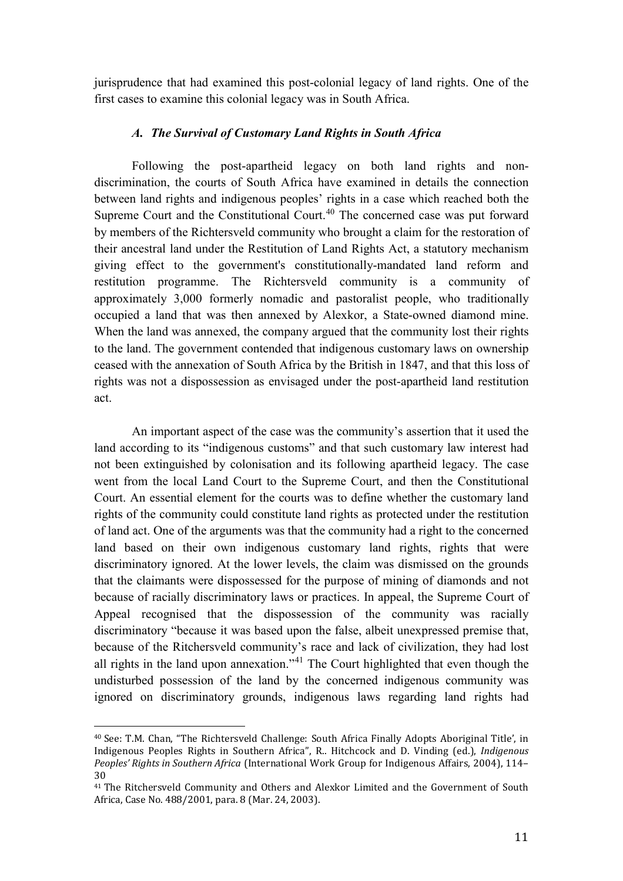jurisprudence that had examined this post-colonial legacy of land rights. One of the first cases to examine this colonial legacy was in South Africa.

## *A. The Survival of Customary Land Rights in South Africa*

Following the post-apartheid legacy on both land rights and nondiscrimination, the courts of South Africa have examined in details the connection between land rights and indigenous peoples' rights in a case which reached both the Supreme Court and the Constitutional Court.<sup>[40](#page-10-0)</sup> The concerned case was put forward by members of the Richtersveld community who brought a claim for the restoration of their ancestral land under the Restitution of Land Rights Act, a statutory mechanism giving effect to the government's constitutionally-mandated land reform and restitution programme. The Richtersveld community is a community of approximately 3,000 formerly nomadic and pastoralist people, who traditionally occupied a land that was then annexed by Alexkor, a State-owned diamond mine. When the land was annexed, the company argued that the community lost their rights to the land. The government contended that indigenous customary laws on ownership ceased with the annexation of South Africa by the British in 1847, and that this loss of rights was not a dispossession as envisaged under the post-apartheid land restitution act.

An important aspect of the case was the community's assertion that it used the land according to its "indigenous customs" and that such customary law interest had not been extinguished by colonisation and its following apartheid legacy. The case went from the local Land Court to the Supreme Court, and then the Constitutional Court. An essential element for the courts was to define whether the customary land rights of the community could constitute land rights as protected under the restitution of land act. One of the arguments was that the community had a right to the concerned land based on their own indigenous customary land rights, rights that were discriminatory ignored. At the lower levels, the claim was dismissed on the grounds that the claimants were dispossessed for the purpose of mining of diamonds and not because of racially discriminatory laws or practices. In appeal, the Supreme Court of Appeal recognised that the dispossession of the community was racially discriminatory "because it was based upon the false, albeit unexpressed premise that, because of the Ritchersveld community's race and lack of civilization, they had lost all rights in the land upon annexation."[41](#page-10-1) The Court highlighted that even though the undisturbed possession of the land by the concerned indigenous community was ignored on discriminatory grounds, indigenous laws regarding land rights had

<span id="page-10-0"></span><sup>40</sup> See: T.M. Chan, "The Richtersveld Challenge: South Africa Finally Adopts Aboriginal Title', in Indigenous Peoples Rights in Southern Africa", R.. Hitchcock and D. Vinding (ed.), *Indigenous Peoples' Rights in Southern Africa* (International Work Group for Indigenous Affairs, 2004), 114– 30 i<br>I

<span id="page-10-1"></span><sup>41</sup> The Ritchersveld Community and Others and Alexkor Limited and the Government of South Africa, Case No. 488/2001, para. 8 (Mar. 24, 2003).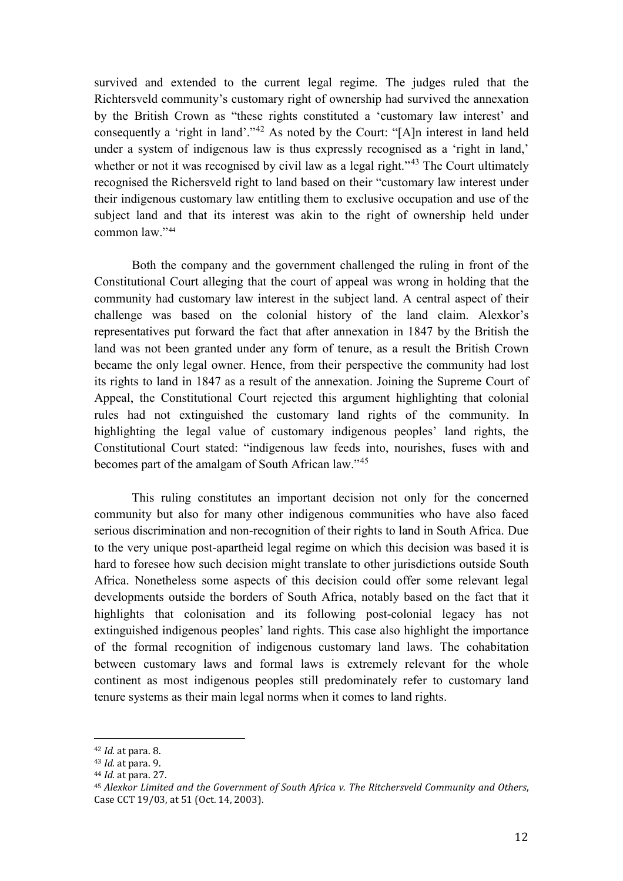survived and extended to the current legal regime. The judges ruled that the Richtersveld community's customary right of ownership had survived the annexation by the British Crown as "these rights constituted a 'customary law interest' and consequently a 'right in land'."[42](#page-11-0) As noted by the Court: "[A]n interest in land held under a system of indigenous law is thus expressly recognised as a 'right in land,' whether or not it was recognised by civil law as a legal right."<sup>[43](#page-11-1)</sup> The Court ultimately recognised the Richersveld right to land based on their "customary law interest under their indigenous customary law entitling them to exclusive occupation and use of the subject land and that its interest was akin to the right of ownership held under common law."[44](#page-11-2) 

Both the company and the government challenged the ruling in front of the Constitutional Court alleging that the court of appeal was wrong in holding that the community had customary law interest in the subject land. A central aspect of their challenge was based on the colonial history of the land claim. Alexkor's representatives put forward the fact that after annexation in 1847 by the British the land was not been granted under any form of tenure, as a result the British Crown became the only legal owner. Hence, from their perspective the community had lost its rights to land in 1847 as a result of the annexation. Joining the Supreme Court of Appeal, the Constitutional Court rejected this argument highlighting that colonial rules had not extinguished the customary land rights of the community. In highlighting the legal value of customary indigenous peoples' land rights, the Constitutional Court stated: "indigenous law feeds into, nourishes, fuses with and becomes part of the amalgam of South African law."[45](#page-11-3)

This ruling constitutes an important decision not only for the concerned community but also for many other indigenous communities who have also faced serious discrimination and non-recognition of their rights to land in South Africa. Due to the very unique post-apartheid legal regime on which this decision was based it is hard to foresee how such decision might translate to other jurisdictions outside South Africa. Nonetheless some aspects of this decision could offer some relevant legal developments outside the borders of South Africa, notably based on the fact that it highlights that colonisation and its following post-colonial legacy has not extinguished indigenous peoples' land rights. This case also highlight the importance of the formal recognition of indigenous customary land laws. The cohabitation between customary laws and formal laws is extremely relevant for the whole continent as most indigenous peoples still predominately refer to customary land tenure systems as their main legal norms when it comes to land rights.

<sup>42</sup> *Id.* at para. 8. i<br>I

<span id="page-11-2"></span><span id="page-11-1"></span><span id="page-11-0"></span><sup>43</sup> *Id.* at para. 9.

<sup>44</sup> *Id.* at para. 27.

<span id="page-11-3"></span><sup>45</sup> *Alexkor Limited and the Government of South Africa v. The Ritchersveld Community and Others*, Case CCT 19/03, at 51 (Oct. 14, 2003).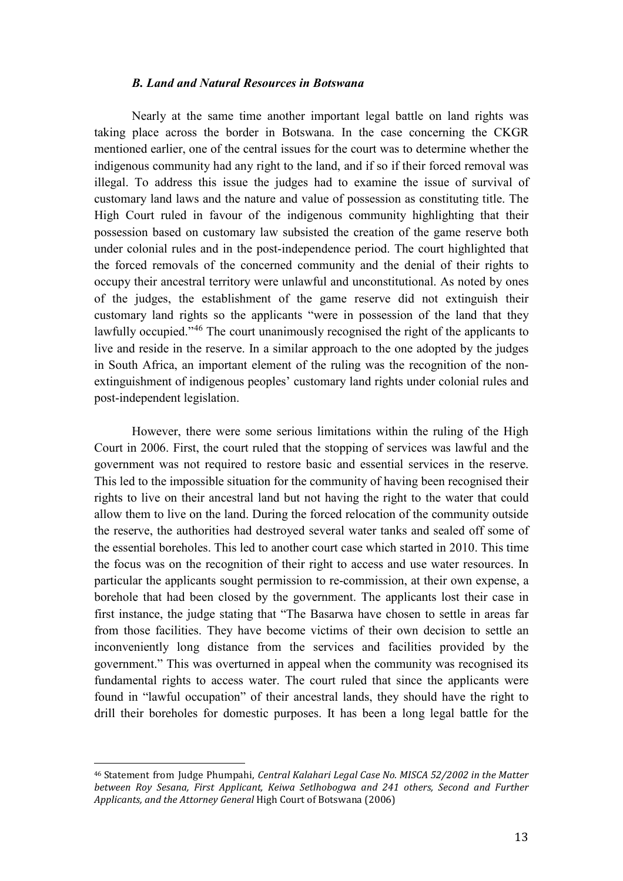### *B. Land and Natural Resources in Botswana*

Nearly at the same time another important legal battle on land rights was taking place across the border in Botswana. In the case concerning the CKGR mentioned earlier, one of the central issues for the court was to determine whether the indigenous community had any right to the land, and if so if their forced removal was illegal. To address this issue the judges had to examine the issue of survival of customary land laws and the nature and value of possession as constituting title. The High Court ruled in favour of the indigenous community highlighting that their possession based on customary law subsisted the creation of the game reserve both under colonial rules and in the post-independence period. The court highlighted that the forced removals of the concerned community and the denial of their rights to occupy their ancestral territory were unlawful and unconstitutional. As noted by ones of the judges, the establishment of the game reserve did not extinguish their customary land rights so the applicants "were in possession of the land that they lawfully occupied."[46](#page-12-0) The court unanimously recognised the right of the applicants to live and reside in the reserve. In a similar approach to the one adopted by the judges in South Africa, an important element of the ruling was the recognition of the nonextinguishment of indigenous peoples' customary land rights under colonial rules and post-independent legislation.

However, there were some serious limitations within the ruling of the High Court in 2006. First, the court ruled that the stopping of services was lawful and the government was not required to restore basic and essential services in the reserve. This led to the impossible situation for the community of having been recognised their rights to live on their ancestral land but not having the right to the water that could allow them to live on the land. During the forced relocation of the community outside the reserve, the authorities had destroyed several water tanks and sealed off some of the essential boreholes. This led to another court case which started in 2010. This time the focus was on the recognition of their right to access and use water resources. In particular the applicants sought permission to re-commission, at their own expense, a borehole that had been closed by the government. The applicants lost their case in first instance, the judge stating that "The Basarwa have chosen to settle in areas far from those facilities. They have become victims of their own decision to settle an inconveniently long distance from the services and facilities provided by the government." This was overturned in appeal when the community was recognised its fundamental rights to access water. The court ruled that since the applicants were found in "lawful occupation" of their ancestral lands, they should have the right to drill their boreholes for domestic purposes. It has been a long legal battle for the

<span id="page-12-0"></span><sup>46</sup> Statement from Judge Phumpahi, *Central Kalahari Legal Case No. MISCA 52/2002 in the Matter between Roy Sesana, First Applicant, Keiwa Setlhobogwa and 241 others, Second and Further Applicants, and the Attorney General* High Court of Botswana (2006) i<br>I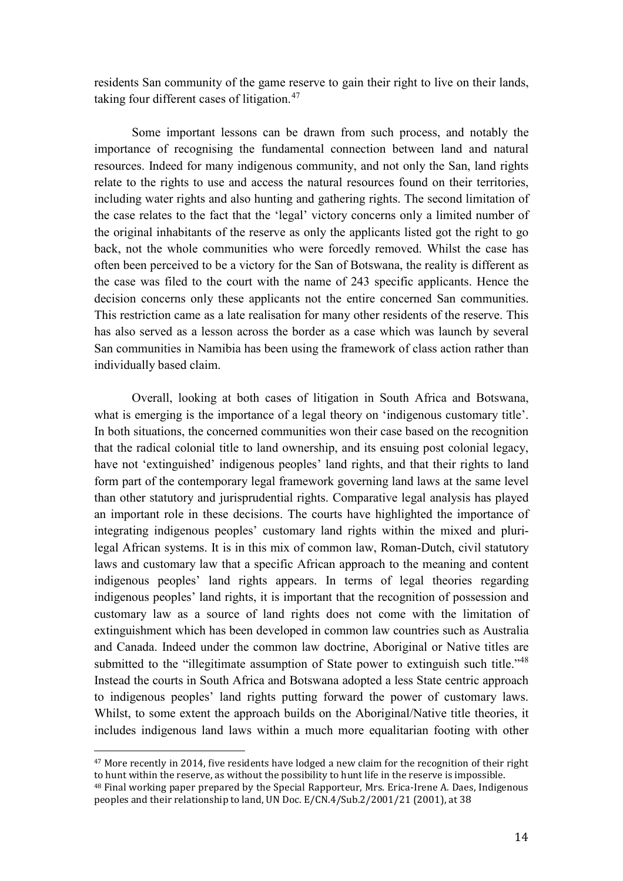residents San community of the game reserve to gain their right to live on their lands, taking four different cases of litigation.<sup>47</sup>

Some important lessons can be drawn from such process, and notably the importance of recognising the fundamental connection between land and natural resources. Indeed for many indigenous community, and not only the San, land rights relate to the rights to use and access the natural resources found on their territories, including water rights and also hunting and gathering rights. The second limitation of the case relates to the fact that the 'legal' victory concerns only a limited number of the original inhabitants of the reserve as only the applicants listed got the right to go back, not the whole communities who were forcedly removed. Whilst the case has often been perceived to be a victory for the San of Botswana, the reality is different as the case was filed to the court with the name of 243 specific applicants. Hence the decision concerns only these applicants not the entire concerned San communities. This restriction came as a late realisation for many other residents of the reserve. This has also served as a lesson across the border as a case which was launch by several San communities in Namibia has been using the framework of class action rather than individually based claim.

Overall, looking at both cases of litigation in South Africa and Botswana, what is emerging is the importance of a legal theory on 'indigenous customary title'. In both situations, the concerned communities won their case based on the recognition that the radical colonial title to land ownership, and its ensuing post colonial legacy, have not 'extinguished' indigenous peoples' land rights, and that their rights to land form part of the contemporary legal framework governing land laws at the same level than other statutory and jurisprudential rights. Comparative legal analysis has played an important role in these decisions. The courts have highlighted the importance of integrating indigenous peoples' customary land rights within the mixed and plurilegal African systems. It is in this mix of common law, Roman-Dutch, civil statutory laws and customary law that a specific African approach to the meaning and content indigenous peoples' land rights appears. In terms of legal theories regarding indigenous peoples' land rights, it is important that the recognition of possession and customary law as a source of land rights does not come with the limitation of extinguishment which has been developed in common law countries such as Australia and Canada. Indeed under the common law doctrine, Aboriginal or Native titles are submitted to the "illegitimate assumption of State power to extinguish such title."<sup>[48](#page-13-1)</sup> Instead the courts in South Africa and Botswana adopted a less State centric approach to indigenous peoples' land rights putting forward the power of customary laws. Whilst, to some extent the approach builds on the Aboriginal/Native title theories, it includes indigenous land laws within a much more equalitarian footing with other

<span id="page-13-0"></span><sup>47</sup> More recently in 2014, five residents have lodged a new claim for the recognition of their right to hunt within the reserve, as without the possibility to hunt life in the reserve is impossible. j

<span id="page-13-1"></span><sup>&</sup>lt;sup>48</sup> Final working paper prepared by the Special Rapporteur, Mrs. Erica-Irene A. Daes, Indigenous peoples and their relationship to land, UN Doc. E/CN.4/Sub.2/2001/21 (2001), at 38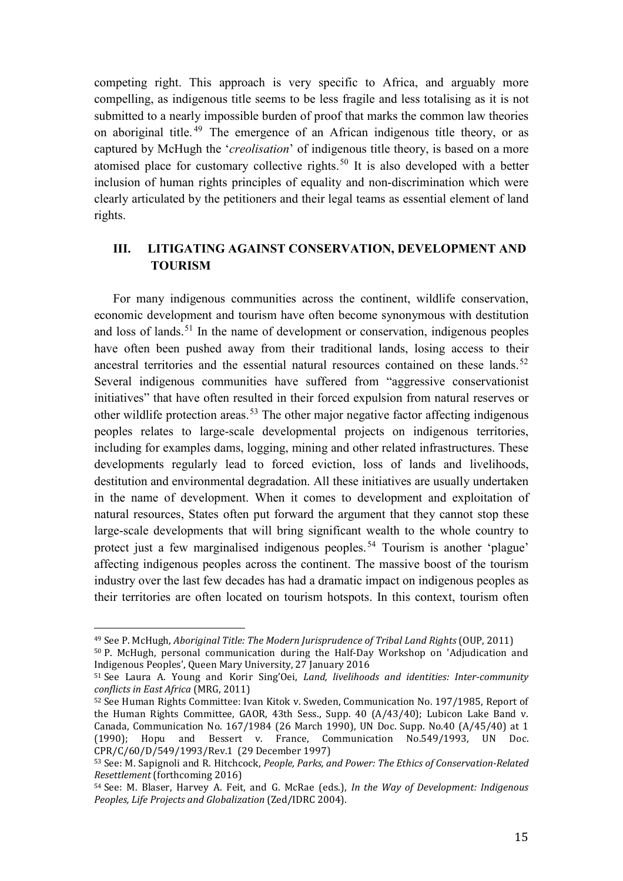competing right. This approach is very specific to Africa, and arguably more compelling, as indigenous title seems to be less fragile and less totalising as it is not submitted to a nearly impossible burden of proof that marks the common law theories on aboriginal title.<sup>[49](#page-14-0)</sup> The emergence of an African indigenous title theory, or as captured by McHugh the '*creolisation*' of indigenous title theory, is based on a more atomised place for customary collective rights.<sup>[50](#page-14-1)</sup> It is also developed with a better inclusion of human rights principles of equality and non-discrimination which were clearly articulated by the petitioners and their legal teams as essential element of land rights.

## **III. LITIGATING AGAINST CONSERVATION, DEVELOPMENT AND TOURISM**

For many indigenous communities across the continent, wildlife conservation, economic development and tourism have often become synonymous with destitution and loss of lands.<sup>[51](#page-14-2)</sup> In the name of development or conservation, indigenous peoples have often been pushed away from their traditional lands, losing access to their ancestral territories and the essential natural resources contained on these lands.<sup>[52](#page-14-3)</sup> Several indigenous communities have suffered from "aggressive conservationist initiatives" that have often resulted in their forced expulsion from natural reserves or other wildlife protection areas.<sup>[53](#page-14-4)</sup> The other major negative factor affecting indigenous peoples relates to large-scale developmental projects on indigenous territories, including for examples dams, logging, mining and other related infrastructures. These developments regularly lead to forced eviction, loss of lands and livelihoods, destitution and environmental degradation. All these initiatives are usually undertaken in the name of development. When it comes to development and exploitation of natural resources, States often put forward the argument that they cannot stop these large-scale developments that will bring significant wealth to the whole country to protect just a few marginalised indigenous peoples.<sup>[54](#page-14-5)</sup> Tourism is another 'plague' affecting indigenous peoples across the continent. The massive boost of the tourism industry over the last few decades has had a dramatic impact on indigenous peoples as their territories are often located on tourism hotspots. In this context, tourism often

<span id="page-14-1"></span><span id="page-14-0"></span><sup>49</sup> See P. McHugh, *Aboriginal Title: The Modern Jurisprudence of Tribal Land Rights* (OUP, 2011) <sup>50</sup> P. McHugh, personal communication during the Half-Day Workshop on 'Adjudication and Indigenous Peoples', Queen Mary University, 27 January 2016 i<br>I

<span id="page-14-2"></span><sup>51</sup> See Laura A. Young and Korir Sing'Oei, *Land, livelihoods and identities: Inter-community conflicts in East Africa* (MRG, 2011)

<span id="page-14-3"></span><sup>52</sup> See Human Rights Committee: Ivan Kitok v. Sweden, Communication No. 197/1985, Report of the Human Rights Committee, GAOR, 43th Sess., Supp. 40 (A/43/40); Lubicon Lake Band v. Canada, Communication No. 167/1984 (26 March 1990), UN Doc. Supp. No.40 (A/45/40) at 1 (1990); Hopu and Bessert v. France, Communication No.549/1993, UN Doc. CPR/C/60/D/549/1993/Rev.1 (29 December 1997)

<span id="page-14-4"></span><sup>53</sup> See: M. Sapignoli and R. Hitchcock, *People, Parks, and Power: The Ethics of Conservation-Related Resettlement* (forthcoming 2016)

<span id="page-14-5"></span><sup>54</sup> See: M. Blaser, Harvey A. Feit, and G. McRae (eds.), *In the Way of Development: Indigenous Peoples, Life Projects and Globalization* (Zed/IDRC 2004).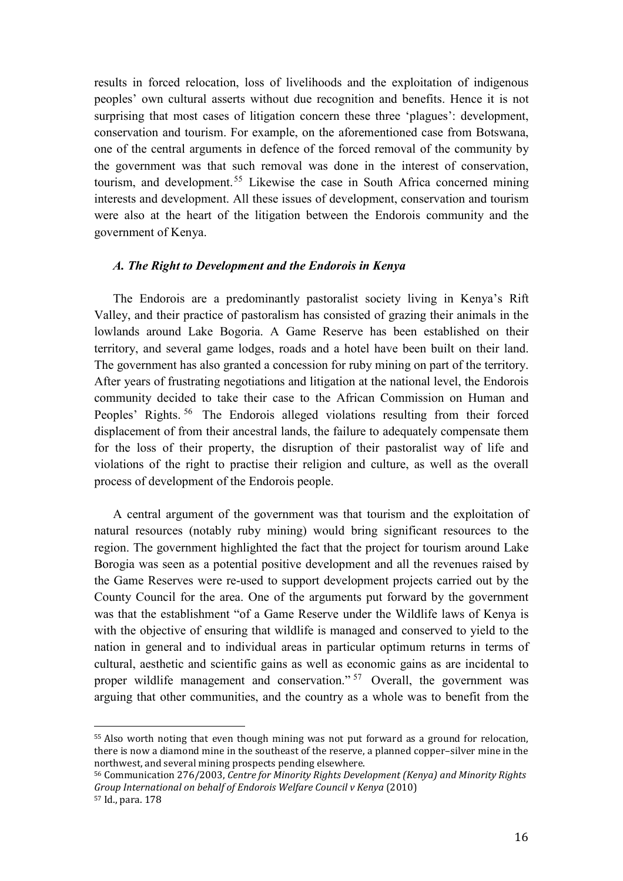results in forced relocation, loss of livelihoods and the exploitation of indigenous peoples' own cultural asserts without due recognition and benefits. Hence it is not surprising that most cases of litigation concern these three 'plagues': development, conservation and tourism. For example, on the aforementioned case from Botswana, one of the central arguments in defence of the forced removal of the community by the government was that such removal was done in the interest of conservation, tourism, and development.<sup>[55](#page-15-0)</sup> Likewise the case in South Africa concerned mining interests and development. All these issues of development, conservation and tourism were also at the heart of the litigation between the Endorois community and the government of Kenya.

### *A. The Right to Development and the Endorois in Kenya*

The Endorois are a predominantly pastoralist society living in Kenya's Rift Valley, and their practice of pastoralism has consisted of grazing their animals in the lowlands around Lake Bogoria. A Game Reserve has been established on their territory, and several game lodges, roads and a hotel have been built on their land. The government has also granted a concession for ruby mining on part of the territory. After years of frustrating negotiations and litigation at the national level, the Endorois community decided to take their case to the African Commission on Human and Peoples' Rights.<sup>[56](#page-15-1)</sup> The Endorois alleged violations resulting from their forced displacement of from their ancestral lands, the failure to adequately compensate them for the loss of their property, the disruption of their pastoralist way of life and violations of the right to practise their religion and culture, as well as the overall process of development of the Endorois people.

A central argument of the government was that tourism and the exploitation of natural resources (notably ruby mining) would bring significant resources to the region. The government highlighted the fact that the project for tourism around Lake Borogia was seen as a potential positive development and all the revenues raised by the Game Reserves were re-used to support development projects carried out by the County Council for the area. One of the arguments put forward by the government was that the establishment "of a Game Reserve under the Wildlife laws of Kenya is with the objective of ensuring that wildlife is managed and conserved to yield to the nation in general and to individual areas in particular optimum returns in terms of cultural, aesthetic and scientific gains as well as economic gains as are incidental to proper wildlife management and conservation."<sup>[57](#page-15-2)</sup> Overall, the government was arguing that other communities, and the country as a whole was to benefit from the

<span id="page-15-0"></span><sup>&</sup>lt;sup>55</sup> Also worth noting that even though mining was not put forward as a ground for relocation, there is now a diamond mine in the southeast of the reserve, a planned copper–silver mine in the northwest, and several mining prospects pending elsewhere. I

<span id="page-15-1"></span><sup>56</sup> Communication 276/2003, *Centre for Minority Rights Development (Kenya) and Minority Rights Group International on behalf of Endorois Welfare Council v Kenya* (2010)

<span id="page-15-2"></span><sup>57</sup> Id., para. 178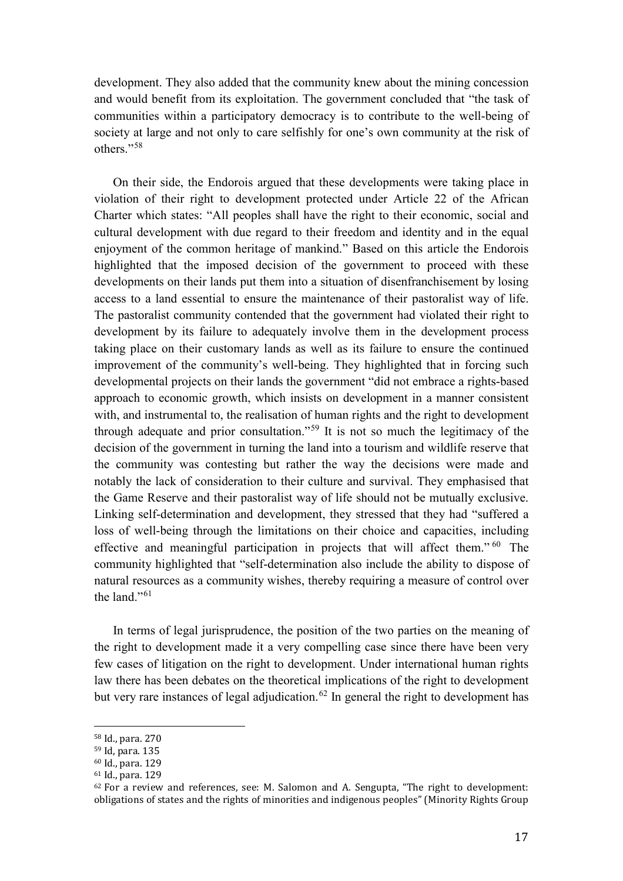development. They also added that the community knew about the mining concession and would benefit from its exploitation. The government concluded that "the task of communities within a participatory democracy is to contribute to the well-being of society at large and not only to care selfishly for one's own community at the risk of others<sup>"[58](#page-16-0)</sup>

On their side, the Endorois argued that these developments were taking place in violation of their right to development protected under Article 22 of the African Charter which states: "All peoples shall have the right to their economic, social and cultural development with due regard to their freedom and identity and in the equal enjoyment of the common heritage of mankind." Based on this article the Endorois highlighted that the imposed decision of the government to proceed with these developments on their lands put them into a situation of disenfranchisement by losing access to a land essential to ensure the maintenance of their pastoralist way of life. The pastoralist community contended that the government had violated their right to development by its failure to adequately involve them in the development process taking place on their customary lands as well as its failure to ensure the continued improvement of the community's well-being. They highlighted that in forcing such developmental projects on their lands the government "did not embrace a rights-based approach to economic growth, which insists on development in a manner consistent with, and instrumental to, the realisation of human rights and the right to development through adequate and prior consultation."[59](#page-16-1) It is not so much the legitimacy of the decision of the government in turning the land into a tourism and wildlife reserve that the community was contesting but rather the way the decisions were made and notably the lack of consideration to their culture and survival. They emphasised that the Game Reserve and their pastoralist way of life should not be mutually exclusive. Linking self-determination and development, they stressed that they had "suffered a loss of well-being through the limitations on their choice and capacities, including effective and meaningful participation in projects that will affect them." [60](#page-16-2) The community highlighted that "self-determination also include the ability to dispose of natural resources as a community wishes, thereby requiring a measure of control over the land<sup>"[61](#page-16-3)</sup>

In terms of legal jurisprudence, the position of the two parties on the meaning of the right to development made it a very compelling case since there have been very few cases of litigation on the right to development. Under international human rights law there has been debates on the theoretical implications of the right to development but very rare instances of legal adjudication.<sup>[62](#page-16-4)</sup> In general the right to development has

I

<sup>58</sup> Id., para. 270

<span id="page-16-1"></span><span id="page-16-0"></span><sup>59</sup> Id, para. 135<br><sup>60</sup> Id., para. 129

<span id="page-16-2"></span>

<span id="page-16-3"></span><sup>61</sup> Id., para. 129

<span id="page-16-4"></span> $62$  For a review and references, see: M. Salomon and A. Sengupta, "The right to development: obligations of states and the rights of minorities and indigenous peoples" (Minority Rights Group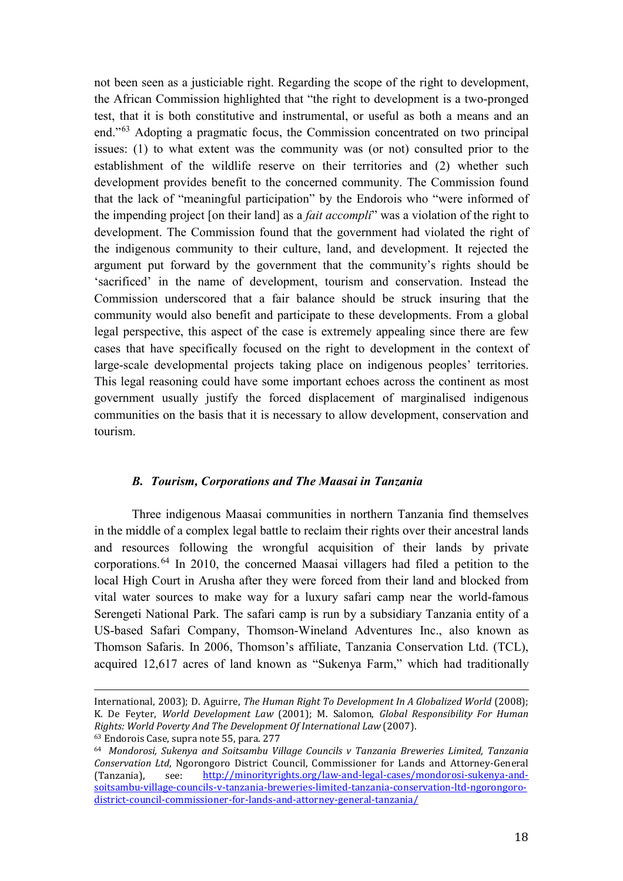not been seen as a justiciable right. Regarding the scope of the right to development, the African Commission highlighted that "the right to development is a two-pronged test, that it is both constitutive and instrumental, or useful as both a means and an end."[63](#page-17-0) Adopting a pragmatic focus, the Commission concentrated on two principal issues: (1) to what extent was the community was (or not) consulted prior to the establishment of the wildlife reserve on their territories and (2) whether such development provides benefit to the concerned community. The Commission found that the lack of "meaningful participation" by the Endorois who "were informed of the impending project [on their land] as a *fait accompli*" was a violation of the right to development. The Commission found that the government had violated the right of the indigenous community to their culture, land, and development. It rejected the argument put forward by the government that the community's rights should be 'sacrificed' in the name of development, tourism and conservation. Instead the Commission underscored that a fair balance should be struck insuring that the community would also benefit and participate to these developments. From a global legal perspective, this aspect of the case is extremely appealing since there are few cases that have specifically focused on the right to development in the context of large-scale developmental projects taking place on indigenous peoples' territories. This legal reasoning could have some important echoes across the continent as most government usually justify the forced displacement of marginalised indigenous communities on the basis that it is necessary to allow development, conservation and tourism.

#### *B. Tourism, Corporations and The Maasai in Tanzania*

Three indigenous Maasai communities in northern Tanzania find themselves in the middle of a complex legal battle to reclaim their rights over their ancestral lands and resources following the wrongful acquisition of their lands by private corporations.[64](#page-17-1) In 2010, the concerned Maasai villagers had filed a petition to the local High Court in Arusha after they were forced from their land and blocked from vital water sources to make way for a luxury safari camp near the world-famous Serengeti National Park. The safari camp is run by a subsidiary Tanzania entity of a US-based Safari Company, Thomson-Wineland Adventures Inc., also known as Thomson Safaris. In 2006, Thomson's affiliate, Tanzania Conservation Ltd. (TCL), acquired 12,617 acres of land known as "Sukenya Farm," which had traditionally

International, 2003); D. Aguirre, *The Human Right To Development In A Globalized World* (2008); K. De Feyter, *World Development Law* (2001); M. Salomon, *Global Responsibility For Human Rights: World Poverty And The Development Of International Law* (2007). i<br>I

<span id="page-17-0"></span><sup>63</sup> Endorois Case, supra note 55, para. 277

<span id="page-17-1"></span><sup>64</sup> *Mondorosi, Sukenya and Soitsambu Village Councils v Tanzania Breweries Limited, Tanzania Conservation Ltd*, Ngorongoro District Council, Commissioner for Lands and Attorney-General (Tanzania), see: http://minorityrights.org/law-and-legal-cases/mondorosi-sukenya-and[http://minorityrights.org/law-and-legal-cases/mondorosi-sukenya-and](http://minorityrights.org/law-and-legal-cases/mondorosi-sukenya-and-soitsambu-village-councils-v-tanzania-breweries-limited-tanzania-conservation-ltd-ngorongoro-district-council-commissioner-for-lands-and-attorney-general-tanzania/)[soitsambu-village-councils-v-tanzania-breweries-limited-tanzania-conservation-ltd-ngorongoro](http://minorityrights.org/law-and-legal-cases/mondorosi-sukenya-and-soitsambu-village-councils-v-tanzania-breweries-limited-tanzania-conservation-ltd-ngorongoro-district-council-commissioner-for-lands-and-attorney-general-tanzania/)[district-council-commissioner-for-lands-and-attorney-general-tanzania/](http://minorityrights.org/law-and-legal-cases/mondorosi-sukenya-and-soitsambu-village-councils-v-tanzania-breweries-limited-tanzania-conservation-ltd-ngorongoro-district-council-commissioner-for-lands-and-attorney-general-tanzania/)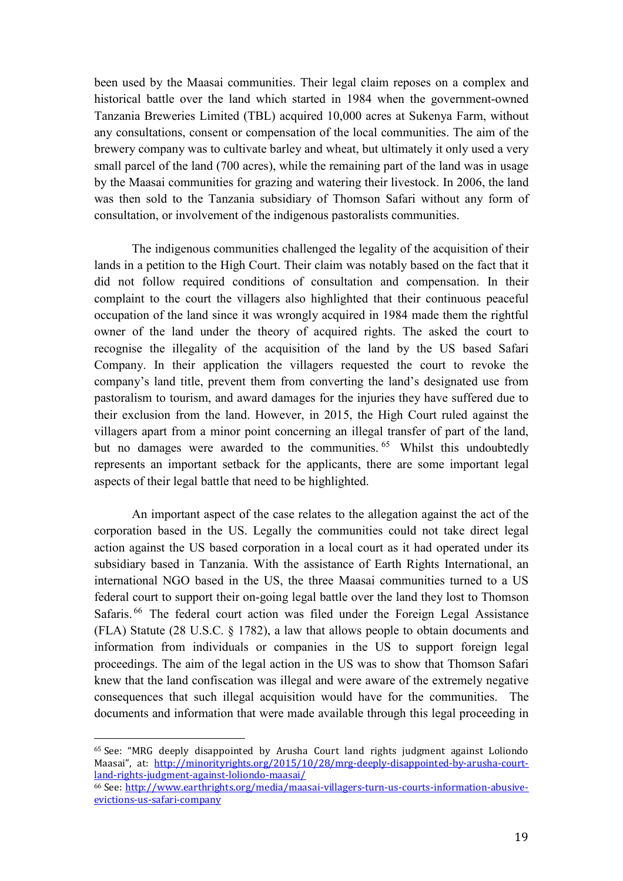been used by the Maasai communities. Their legal claim reposes on a complex and historical battle over the land which started in 1984 when the government-owned Tanzania Breweries Limited (TBL) acquired 10,000 acres at Sukenya Farm, without any consultations, consent or compensation of the local communities. The aim of the brewery company was to cultivate barley and wheat, but ultimately it only used a very small parcel of the land (700 acres), while the remaining part of the land was in usage by the Maasai communities for grazing and watering their livestock. In 2006, the land was then sold to the Tanzania subsidiary of Thomson Safari without any form of consultation, or involvement of the indigenous pastoralists communities.

The indigenous communities challenged the legality of the acquisition of their lands in a petition to the High Court. Their claim was notably based on the fact that it did not follow required conditions of consultation and compensation. In their complaint to the court the villagers also highlighted that their continuous peaceful occupation of the land since it was wrongly acquired in 1984 made them the rightful owner of the land under the theory of acquired rights. The asked the court to recognise the illegality of the acquisition of the land by the US based Safari Company. In their application the villagers requested the court to revoke the company's land title, prevent them from converting the land's designated use from pastoralism to tourism, and award damages for the injuries they have suffered due to their exclusion from the land. However, in 2015, the High Court ruled against the villagers apart from a minor point concerning an illegal transfer of part of the land, but no damages were awarded to the communities.<sup>[65](#page-18-0)</sup> Whilst this undoubtedly represents an important setback for the applicants, there are some important legal aspects of their legal battle that need to be highlighted.

An important aspect of the case relates to the allegation against the act of the corporation based in the US. Legally the communities could not take direct legal action against the US based corporation in a local court as it had operated under its subsidiary based in Tanzania. With the assistance of Earth Rights International, an international NGO based in the US, the three Maasai communities turned to a US federal court to support their on-going legal battle over the land they lost to Thomson Safaris.<sup>[66](#page-18-1)</sup> The federal court action was filed under the Foreign Legal Assistance (FLA) Statute (28 U.S.C. § 1782), a law that allows people to obtain documents and information from individuals or companies in the US to support foreign legal proceedings. The aim of the legal action in the US was to show that Thomson Safari knew that the land confiscation was illegal and were aware of the extremely negative consequences that such illegal acquisition would have for the communities. The documents and information that were made available through this legal proceeding in

<span id="page-18-0"></span><sup>&</sup>lt;sup>65</sup> See: "MRG deeply disappointed by Arusha Court land rights judgment against Loliondo Maasai", at: http://minorityrights.org/2015/10/28/mrg-deeply-disappointed-by-arusha-court-<br>land-rights-judgment-against-loliondo-maasai/ i<br>I

<span id="page-18-1"></span><sup>&</sup>lt;sup>66</sup> See: [http://www.earthrights.org/media/maasai-villagers-turn-us-courts-information-abusive](http://www.earthrights.org/media/maasai-villagers-turn-us-courts-information-abusive-evictions-us-safari-company)[evictions-us-safari-company](http://www.earthrights.org/media/maasai-villagers-turn-us-courts-information-abusive-evictions-us-safari-company)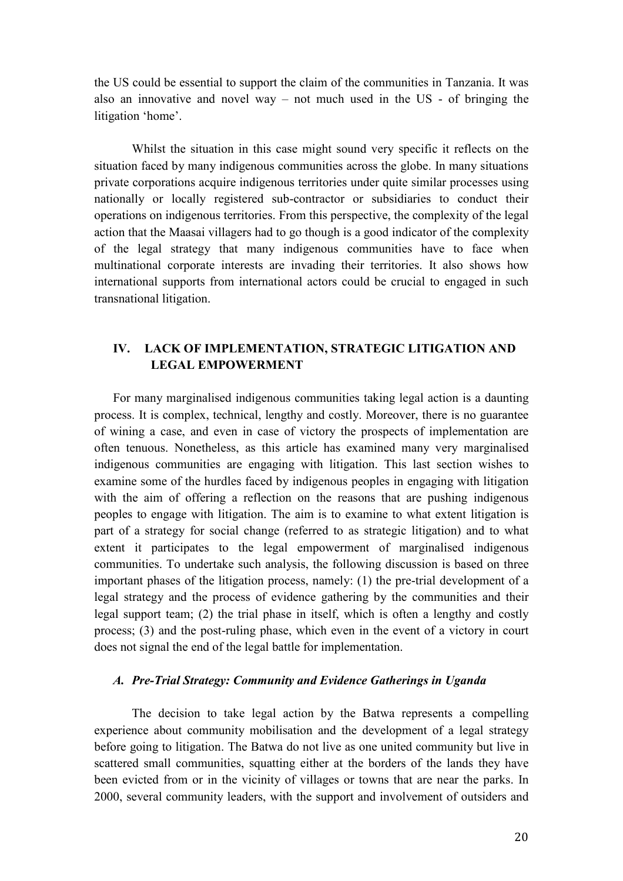the US could be essential to support the claim of the communities in Tanzania. It was also an innovative and novel way – not much used in the  $US$  - of bringing the litigation 'home'.

Whilst the situation in this case might sound very specific it reflects on the situation faced by many indigenous communities across the globe. In many situations private corporations acquire indigenous territories under quite similar processes using nationally or locally registered sub-contractor or subsidiaries to conduct their operations on indigenous territories. From this perspective, the complexity of the legal action that the Maasai villagers had to go though is a good indicator of the complexity of the legal strategy that many indigenous communities have to face when multinational corporate interests are invading their territories. It also shows how international supports from international actors could be crucial to engaged in such transnational litigation.

## **IV. LACK OF IMPLEMENTATION, STRATEGIC LITIGATION AND LEGAL EMPOWERMENT**

For many marginalised indigenous communities taking legal action is a daunting process. It is complex, technical, lengthy and costly. Moreover, there is no guarantee of wining a case, and even in case of victory the prospects of implementation are often tenuous. Nonetheless, as this article has examined many very marginalised indigenous communities are engaging with litigation. This last section wishes to examine some of the hurdles faced by indigenous peoples in engaging with litigation with the aim of offering a reflection on the reasons that are pushing indigenous peoples to engage with litigation. The aim is to examine to what extent litigation is part of a strategy for social change (referred to as strategic litigation) and to what extent it participates to the legal empowerment of marginalised indigenous communities. To undertake such analysis, the following discussion is based on three important phases of the litigation process, namely: (1) the pre-trial development of a legal strategy and the process of evidence gathering by the communities and their legal support team; (2) the trial phase in itself, which is often a lengthy and costly process; (3) and the post-ruling phase, which even in the event of a victory in court does not signal the end of the legal battle for implementation.

### *A. Pre-Trial Strategy: Community and Evidence Gatherings in Uganda*

The decision to take legal action by the Batwa represents a compelling experience about community mobilisation and the development of a legal strategy before going to litigation. The Batwa do not live as one united community but live in scattered small communities, squatting either at the borders of the lands they have been evicted from or in the vicinity of villages or towns that are near the parks. In 2000, several community leaders, with the support and involvement of outsiders and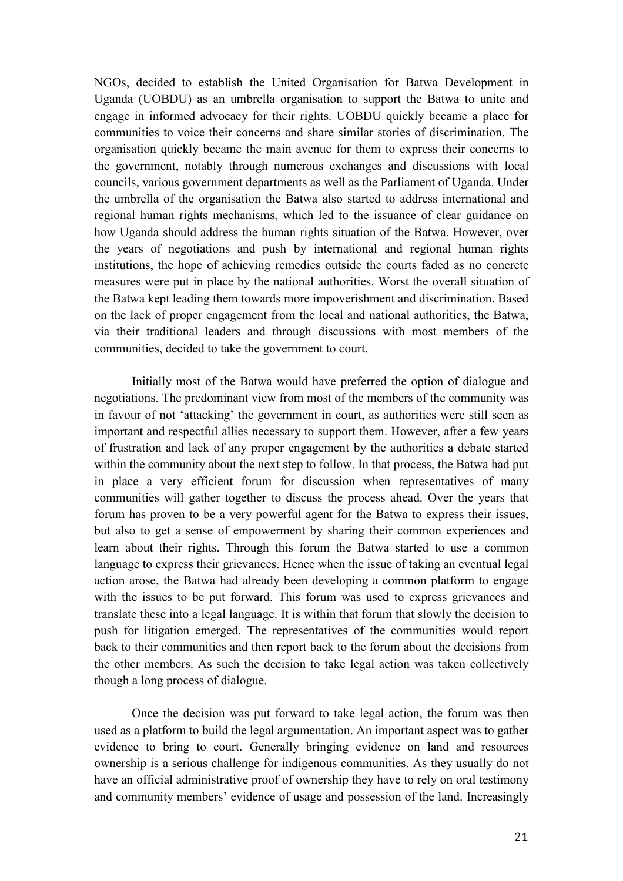NGOs, decided to establish the United Organisation for Batwa Development in Uganda (UOBDU) as an umbrella organisation to support the Batwa to unite and engage in informed advocacy for their rights. UOBDU quickly became a place for communities to voice their concerns and share similar stories of discrimination. The organisation quickly became the main avenue for them to express their concerns to the government, notably through numerous exchanges and discussions with local councils, various government departments as well as the Parliament of Uganda. Under the umbrella of the organisation the Batwa also started to address international and regional human rights mechanisms, which led to the issuance of clear guidance on how Uganda should address the human rights situation of the Batwa. However, over the years of negotiations and push by international and regional human rights institutions, the hope of achieving remedies outside the courts faded as no concrete measures were put in place by the national authorities. Worst the overall situation of the Batwa kept leading them towards more impoverishment and discrimination. Based on the lack of proper engagement from the local and national authorities, the Batwa, via their traditional leaders and through discussions with most members of the communities, decided to take the government to court.

Initially most of the Batwa would have preferred the option of dialogue and negotiations. The predominant view from most of the members of the community was in favour of not 'attacking' the government in court, as authorities were still seen as important and respectful allies necessary to support them. However, after a few years of frustration and lack of any proper engagement by the authorities a debate started within the community about the next step to follow. In that process, the Batwa had put in place a very efficient forum for discussion when representatives of many communities will gather together to discuss the process ahead. Over the years that forum has proven to be a very powerful agent for the Batwa to express their issues, but also to get a sense of empowerment by sharing their common experiences and learn about their rights. Through this forum the Batwa started to use a common language to express their grievances. Hence when the issue of taking an eventual legal action arose, the Batwa had already been developing a common platform to engage with the issues to be put forward. This forum was used to express grievances and translate these into a legal language. It is within that forum that slowly the decision to push for litigation emerged. The representatives of the communities would report back to their communities and then report back to the forum about the decisions from the other members. As such the decision to take legal action was taken collectively though a long process of dialogue.

Once the decision was put forward to take legal action, the forum was then used as a platform to build the legal argumentation. An important aspect was to gather evidence to bring to court. Generally bringing evidence on land and resources ownership is a serious challenge for indigenous communities. As they usually do not have an official administrative proof of ownership they have to rely on oral testimony and community members' evidence of usage and possession of the land. Increasingly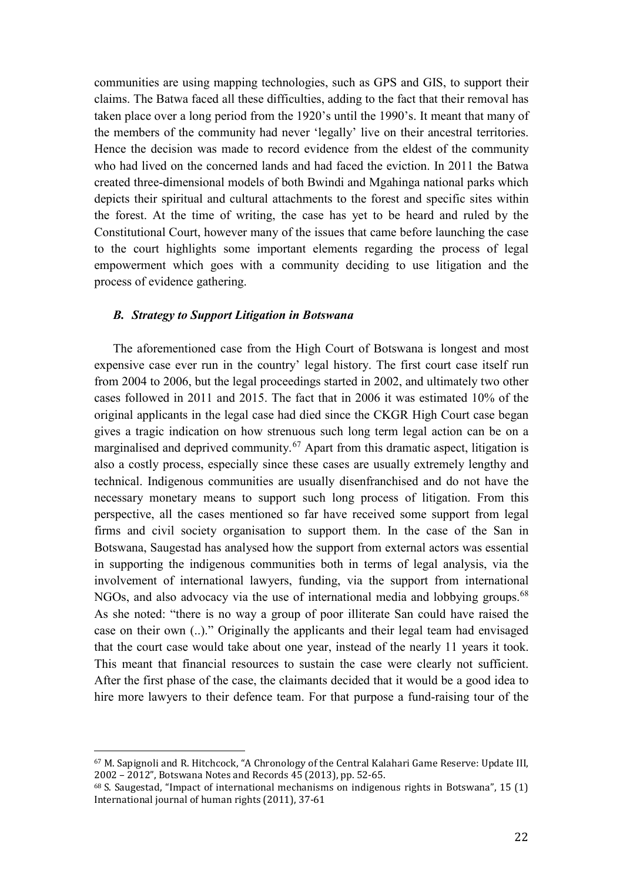communities are using mapping technologies, such as GPS and GIS, to support their claims. The Batwa faced all these difficulties, adding to the fact that their removal has taken place over a long period from the 1920's until the 1990's. It meant that many of the members of the community had never 'legally' live on their ancestral territories. Hence the decision was made to record evidence from the eldest of the community who had lived on the concerned lands and had faced the eviction. In 2011 the Batwa created three-dimensional models of both Bwindi and Mgahinga national parks which depicts their spiritual and cultural attachments to the forest and specific sites within the forest. At the time of writing, the case has yet to be heard and ruled by the Constitutional Court, however many of the issues that came before launching the case to the court highlights some important elements regarding the process of legal empowerment which goes with a community deciding to use litigation and the process of evidence gathering.

### *B. Strategy to Support Litigation in Botswana*

The aforementioned case from the High Court of Botswana is longest and most expensive case ever run in the country' legal history. The first court case itself run from 2004 to 2006, but the legal proceedings started in 2002, and ultimately two other cases followed in 2011 and 2015. The fact that in 2006 it was estimated 10% of the original applicants in the legal case had died since the CKGR High Court case began gives a tragic indication on how strenuous such long term legal action can be on a marginalised and deprived community.<sup>[67](#page-21-0)</sup> Apart from this dramatic aspect, litigation is also a costly process, especially since these cases are usually extremely lengthy and technical. Indigenous communities are usually disenfranchised and do not have the necessary monetary means to support such long process of litigation. From this perspective, all the cases mentioned so far have received some support from legal firms and civil society organisation to support them. In the case of the San in Botswana, Saugestad has analysed how the support from external actors was essential in supporting the indigenous communities both in terms of legal analysis, via the involvement of international lawyers, funding, via the support from international NGOs, and also advocacy via the use of international media and lobbying groups.<sup>[68](#page-21-1)</sup> As she noted: "there is no way a group of poor illiterate San could have raised the case on their own (..)." Originally the applicants and their legal team had envisaged that the court case would take about one year, instead of the nearly 11 years it took. This meant that financial resources to sustain the case were clearly not sufficient. After the first phase of the case, the claimants decided that it would be a good idea to hire more lawyers to their defence team. For that purpose a fund-raising tour of the

<span id="page-21-0"></span><sup>&</sup>lt;sup>67</sup> M. Sapignoli and R. Hitchcock, "A Chronology of the Central Kalahari Game Reserve: Update III, 2002 – 2012", Botswana Notes and Records 45 (2013), pp. 52-65. j

<span id="page-21-1"></span><sup>68</sup> S. Saugestad, "Impact of international mechanisms on indigenous rights in Botswana", 15 (1) International journal of human rights (2011), 37-61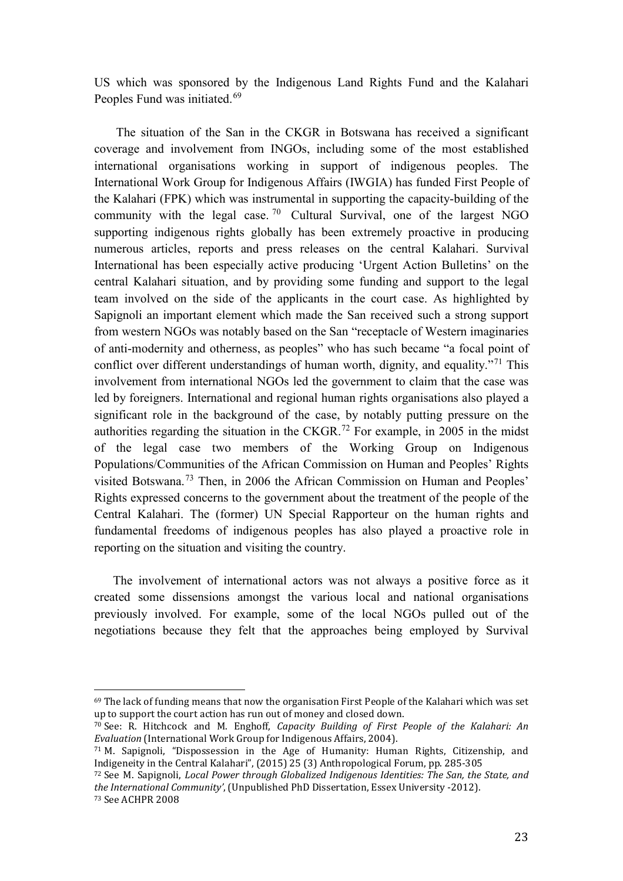US which was sponsored by the Indigenous Land Rights Fund and the Kalahari Peoples Fund was initiated.<sup>69</sup>

The situation of the San in the CKGR in Botswana has received a significant coverage and involvement from INGOs, including some of the most established international organisations working in support of indigenous peoples. The International Work Group for Indigenous Affairs (IWGIA) has funded First People of the Kalahari (FPK) which was instrumental in supporting the capacity-building of the community with the legal case.  $70$  Cultural Survival, one of the largest NGO supporting indigenous rights globally has been extremely proactive in producing numerous articles, reports and press releases on the central Kalahari. Survival International has been especially active producing 'Urgent Action Bulletins' on the central Kalahari situation, and by providing some funding and support to the legal team involved on the side of the applicants in the court case. As highlighted by Sapignoli an important element which made the San received such a strong support from western NGOs was notably based on the San "receptacle of Western imaginaries of anti-modernity and otherness, as peoples" who has such became "a focal point of conflict over different understandings of human worth, dignity, and equality."<sup>[71](#page-22-2)</sup> This involvement from international NGOs led the government to claim that the case was led by foreigners. International and regional human rights organisations also played a significant role in the background of the case, by notably putting pressure on the authorities regarding the situation in the CKGR.<sup>[72](#page-22-3)</sup> For example, in 2005 in the midst of the legal case two members of the Working Group on Indigenous Populations/Communities of the African Commission on Human and Peoples' Rights visited Botswana.[73](#page-22-4) Then, in 2006 the African Commission on Human and Peoples' Rights expressed concerns to the government about the treatment of the people of the Central Kalahari. The (former) UN Special Rapporteur on the human rights and fundamental freedoms of indigenous peoples has also played a proactive role in reporting on the situation and visiting the country.

The involvement of international actors was not always a positive force as it created some dissensions amongst the various local and national organisations previously involved. For example, some of the local NGOs pulled out of the negotiations because they felt that the approaches being employed by Survival

<span id="page-22-0"></span><sup>69</sup> The lack of funding means that now the organisation First People of the Kalahari which was set up to support the court action has run out of money and closed down. i<br>I

<span id="page-22-1"></span><sup>70</sup> See: R. Hitchcock and M. Enghoff, *Capacity Building of First People of the Kalahari: An Evaluation* (International Work Group for Indigenous Affairs, 2004).

<span id="page-22-2"></span><sup>&</sup>lt;sup>71</sup> M. Sapignoli, "Dispossession in the Age of Humanity: Human Rights, Citizenship, and Indigeneity in the Central Kalahari", (2015) 25 (3) Anthropological Forum, pp. 285-305

<span id="page-22-3"></span><sup>&</sup>lt;sup>72</sup> See M. Sapignoli, *Local Power through Globalized Indigenous Identities: The San, the State, and the International Community'*, (Unpublished PhD Dissertation, Essex University -2012). 73 See ACHPR 2008

<span id="page-22-4"></span>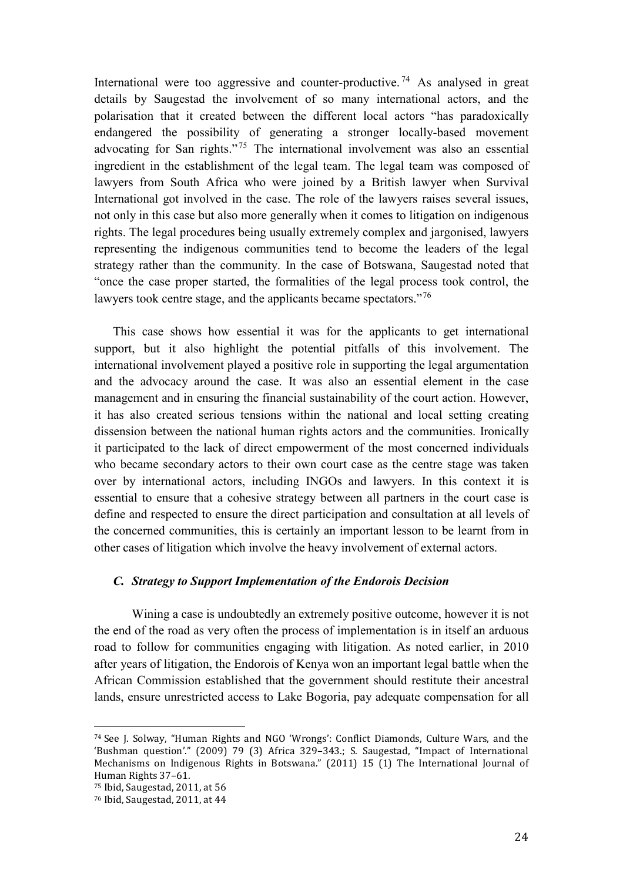International were too aggressive and counter-productive.<sup>[74](#page-23-0)</sup> As analysed in great details by Saugestad the involvement of so many international actors, and the polarisation that it created between the different local actors "has paradoxically endangered the possibility of generating a stronger locally-based movement advocating for San rights."<sup>[75](#page-23-1)</sup> The international involvement was also an essential ingredient in the establishment of the legal team. The legal team was composed of lawyers from South Africa who were joined by a British lawyer when Survival International got involved in the case. The role of the lawyers raises several issues, not only in this case but also more generally when it comes to litigation on indigenous rights. The legal procedures being usually extremely complex and jargonised, lawyers representing the indigenous communities tend to become the leaders of the legal strategy rather than the community. In the case of Botswana, Saugestad noted that "once the case proper started, the formalities of the legal process took control, the lawyers took centre stage, and the applicants became spectators."<sup>[76](#page-23-2)</sup>

This case shows how essential it was for the applicants to get international support, but it also highlight the potential pitfalls of this involvement. The international involvement played a positive role in supporting the legal argumentation and the advocacy around the case. It was also an essential element in the case management and in ensuring the financial sustainability of the court action. However, it has also created serious tensions within the national and local setting creating dissension between the national human rights actors and the communities. Ironically it participated to the lack of direct empowerment of the most concerned individuals who became secondary actors to their own court case as the centre stage was taken over by international actors, including INGOs and lawyers. In this context it is essential to ensure that a cohesive strategy between all partners in the court case is define and respected to ensure the direct participation and consultation at all levels of the concerned communities, this is certainly an important lesson to be learnt from in other cases of litigation which involve the heavy involvement of external actors.

### *C. Strategy to Support Implementation of the Endorois Decision*

Wining a case is undoubtedly an extremely positive outcome, however it is not the end of the road as very often the process of implementation is in itself an arduous road to follow for communities engaging with litigation. As noted earlier, in 2010 after years of litigation, the Endorois of Kenya won an important legal battle when the African Commission established that the government should restitute their ancestral lands, ensure unrestricted access to Lake Bogoria, pay adequate compensation for all

<span id="page-23-0"></span><sup>74</sup> See J. Solway, "Human Rights and NGO 'Wrongs': Conflict Diamonds, Culture Wars, and the 'Bushman question'." (2009) 79 (3) Africa 329–343.; S. Saugestad, "Impact of International Mechanisms on Indigenous Rights in Botswana." (2011) 15 (1) The International Journal of Human Rights 37–61. i<br>I

<span id="page-23-1"></span> $75$  Ibid, Saugestad, 2011, at 56

<span id="page-23-2"></span><sup>76</sup> Ibid, Saugestad, 2011, at 44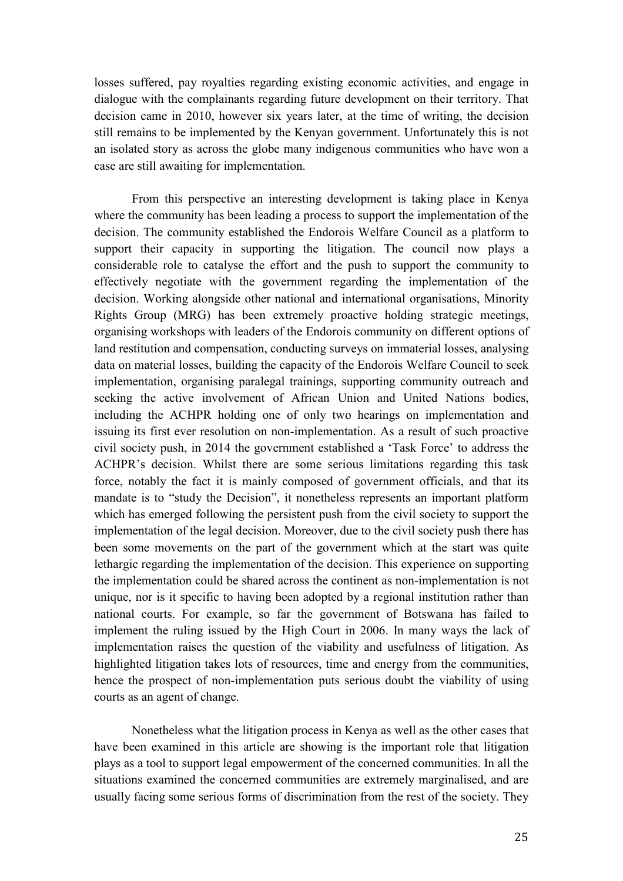losses suffered, pay royalties regarding existing economic activities, and engage in dialogue with the complainants regarding future development on their territory. That decision came in 2010, however six years later, at the time of writing, the decision still remains to be implemented by the Kenyan government. Unfortunately this is not an isolated story as across the globe many indigenous communities who have won a case are still awaiting for implementation.

From this perspective an interesting development is taking place in Kenya where the community has been leading a process to support the implementation of the decision. The community established the Endorois Welfare Council as a platform to support their capacity in supporting the litigation. The council now plays a considerable role to catalyse the effort and the push to support the community to effectively negotiate with the government regarding the implementation of the decision. Working alongside other national and international organisations, Minority Rights Group (MRG) has been extremely proactive holding strategic meetings, organising workshops with leaders of the Endorois community on different options of land restitution and compensation, conducting surveys on immaterial losses, analysing data on material losses, building the capacity of the Endorois Welfare Council to seek implementation, organising paralegal trainings, supporting community outreach and seeking the active involvement of African Union and United Nations bodies, including the ACHPR holding one of only two hearings on implementation and issuing its first ever resolution on non-implementation. As a result of such proactive civil society push, in 2014 the government established a 'Task Force' to address the ACHPR's decision. Whilst there are some serious limitations regarding this task force, notably the fact it is mainly composed of government officials, and that its mandate is to "study the Decision", it nonetheless represents an important platform which has emerged following the persistent push from the civil society to support the implementation of the legal decision. Moreover, due to the civil society push there has been some movements on the part of the government which at the start was quite lethargic regarding the implementation of the decision. This experience on supporting the implementation could be shared across the continent as non-implementation is not unique, nor is it specific to having been adopted by a regional institution rather than national courts. For example, so far the government of Botswana has failed to implement the ruling issued by the High Court in 2006. In many ways the lack of implementation raises the question of the viability and usefulness of litigation. As highlighted litigation takes lots of resources, time and energy from the communities, hence the prospect of non-implementation puts serious doubt the viability of using courts as an agent of change.

Nonetheless what the litigation process in Kenya as well as the other cases that have been examined in this article are showing is the important role that litigation plays as a tool to support legal empowerment of the concerned communities. In all the situations examined the concerned communities are extremely marginalised, and are usually facing some serious forms of discrimination from the rest of the society. They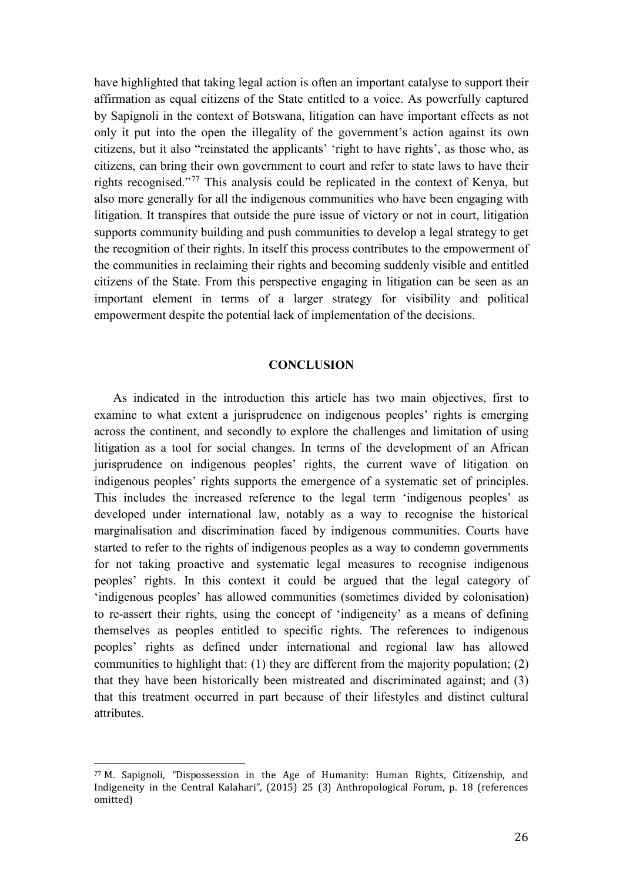have highlighted that taking legal action is often an important catalyse to support their affirmation as equal citizens of the State entitled to a voice. As powerfully captured by Sapignoli in the context of Botswana, litigation can have important effects as not only it put into the open the illegality of the government's action against its own citizens, but it also "reinstated the applicants' 'right to have rights', as those who, as citizens, can bring their own government to court and refer to state laws to have their rights recognised."[77](#page-25-0) This analysis could be replicated in the context of Kenya, but also more generally for all the indigenous communities who have been engaging with litigation. It transpires that outside the pure issue of victory or not in court, litigation supports community building and push communities to develop a legal strategy to get the recognition of their rights. In itself this process contributes to the empowerment of the communities in reclaiming their rights and becoming suddenly visible and entitled citizens of the State. From this perspective engaging in litigation can be seen as an important element in terms of a larger strategy for visibility and political empowerment despite the potential lack of implementation of the decisions.

### **CONCLUSION**

As indicated in the introduction this article has two main objectives, first to examine to what extent a jurisprudence on indigenous peoples' rights is emerging across the continent, and secondly to explore the challenges and limitation of using litigation as a tool for social changes. In terms of the development of an African jurisprudence on indigenous peoples' rights, the current wave of litigation on indigenous peoples' rights supports the emergence of a systematic set of principles. This includes the increased reference to the legal term 'indigenous peoples' as developed under international law, notably as a way to recognise the historical marginalisation and discrimination faced by indigenous communities. Courts have started to refer to the rights of indigenous peoples as a way to condemn governments for not taking proactive and systematic legal measures to recognise indigenous peoples' rights. In this context it could be argued that the legal category of 'indigenous peoples' has allowed communities (sometimes divided by colonisation) to re-assert their rights, using the concept of 'indigeneity' as a means of defining themselves as peoples entitled to specific rights. The references to indigenous peoples' rights as defined under international and regional law has allowed communities to highlight that: (1) they are different from the majority population; (2) that they have been historically been mistreated and discriminated against; and (3) that this treatment occurred in part because of their lifestyles and distinct cultural attributes.

<span id="page-25-0"></span><sup>77</sup> M. Sapignoli, "Dispossession in the Age of Humanity: Human Rights, Citizenship, and Indigeneity in the Central Kalahari", (2015) 25 (3) Anthropological Forum, p. 18 (references omitted) i<br>I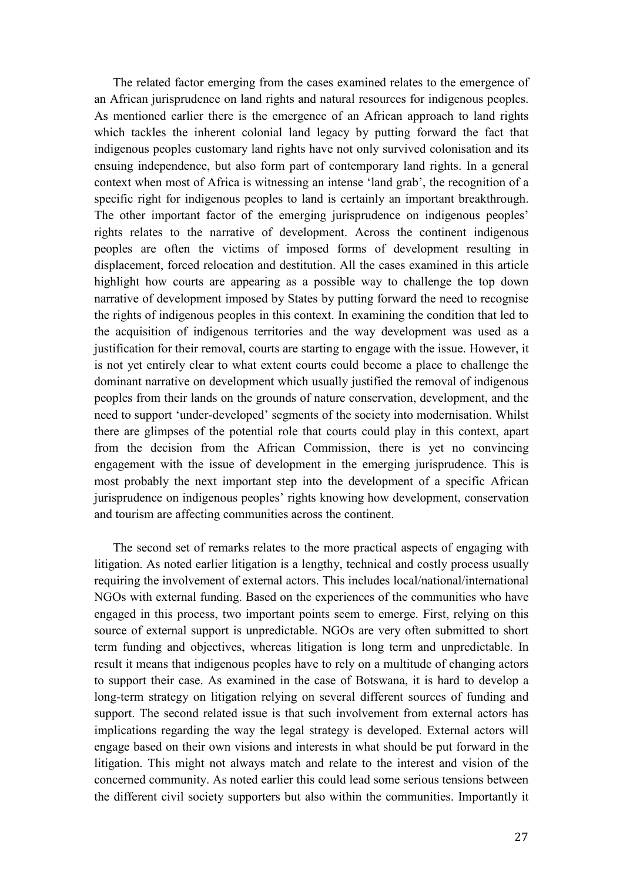The related factor emerging from the cases examined relates to the emergence of an African jurisprudence on land rights and natural resources for indigenous peoples. As mentioned earlier there is the emergence of an African approach to land rights which tackles the inherent colonial land legacy by putting forward the fact that indigenous peoples customary land rights have not only survived colonisation and its ensuing independence, but also form part of contemporary land rights. In a general context when most of Africa is witnessing an intense 'land grab', the recognition of a specific right for indigenous peoples to land is certainly an important breakthrough. The other important factor of the emerging jurisprudence on indigenous peoples' rights relates to the narrative of development. Across the continent indigenous peoples are often the victims of imposed forms of development resulting in displacement, forced relocation and destitution. All the cases examined in this article highlight how courts are appearing as a possible way to challenge the top down narrative of development imposed by States by putting forward the need to recognise the rights of indigenous peoples in this context. In examining the condition that led to the acquisition of indigenous territories and the way development was used as a justification for their removal, courts are starting to engage with the issue. However, it is not yet entirely clear to what extent courts could become a place to challenge the dominant narrative on development which usually justified the removal of indigenous peoples from their lands on the grounds of nature conservation, development, and the need to support 'under-developed' segments of the society into modernisation. Whilst there are glimpses of the potential role that courts could play in this context, apart from the decision from the African Commission, there is yet no convincing engagement with the issue of development in the emerging jurisprudence. This is most probably the next important step into the development of a specific African jurisprudence on indigenous peoples' rights knowing how development, conservation and tourism are affecting communities across the continent.

The second set of remarks relates to the more practical aspects of engaging with litigation. As noted earlier litigation is a lengthy, technical and costly process usually requiring the involvement of external actors. This includes local/national/international NGOs with external funding. Based on the experiences of the communities who have engaged in this process, two important points seem to emerge. First, relying on this source of external support is unpredictable. NGOs are very often submitted to short term funding and objectives, whereas litigation is long term and unpredictable. In result it means that indigenous peoples have to rely on a multitude of changing actors to support their case. As examined in the case of Botswana, it is hard to develop a long-term strategy on litigation relying on several different sources of funding and support. The second related issue is that such involvement from external actors has implications regarding the way the legal strategy is developed. External actors will engage based on their own visions and interests in what should be put forward in the litigation. This might not always match and relate to the interest and vision of the concerned community. As noted earlier this could lead some serious tensions between the different civil society supporters but also within the communities. Importantly it